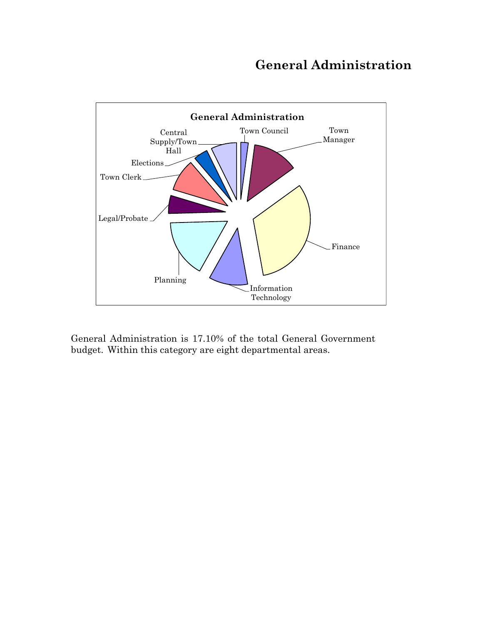# **General Administration**



General Administration is 17.10% of the total General Government budget. Within this category are eight departmental areas.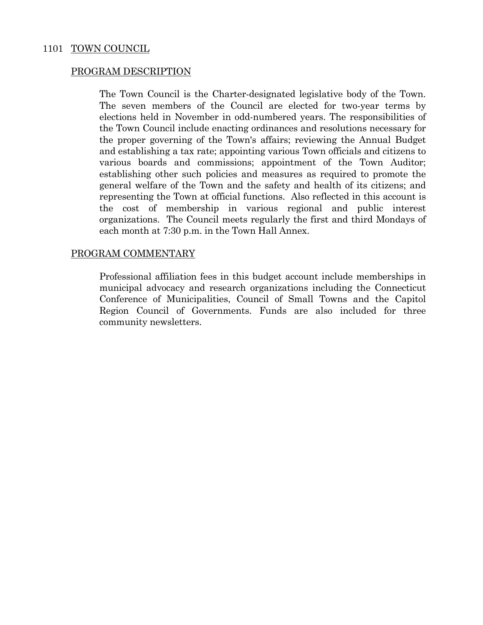## 1101 TOWN COUNCIL

## PROGRAM DESCRIPTION

 The Town Council is the Charter-designated legislative body of the Town. The seven members of the Council are elected for two-year terms by elections held in November in odd-numbered years. The responsibilities of the Town Council include enacting ordinances and resolutions necessary for the proper governing of the Town's affairs; reviewing the Annual Budget and establishing a tax rate; appointing various Town officials and citizens to various boards and commissions; appointment of the Town Auditor; establishing other such policies and measures as required to promote the general welfare of the Town and the safety and health of its citizens; and representing the Town at official functions. Also reflected in this account is the cost of membership in various regional and public interest organizations. The Council meets regularly the first and third Mondays of each month at 7:30 p.m. in the Town Hall Annex.

## PROGRAM COMMENTARY

 Professional affiliation fees in this budget account include memberships in municipal advocacy and research organizations including the Connecticut Conference of Municipalities, Council of Small Towns and the Capitol Region Council of Governments. Funds are also included for three community newsletters.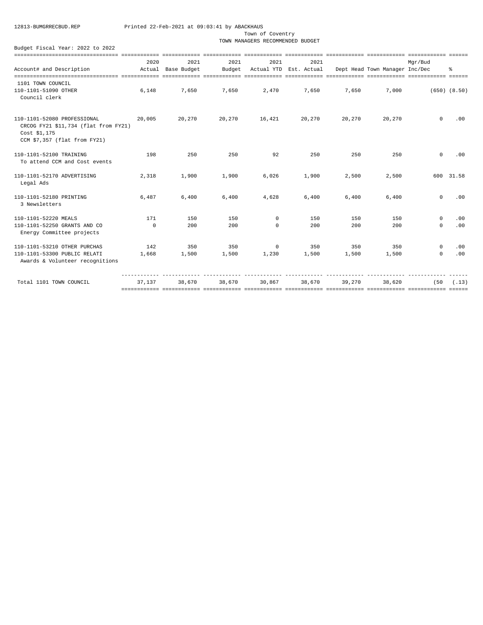Town of Coventry

TOWN MANAGERS RECOMMENDED BUDGET

|                                                                                                                     | 2020         | 2021        | 2021   | 2021        | 2021                   |        |                                | Mgr/Bud     |                  |
|---------------------------------------------------------------------------------------------------------------------|--------------|-------------|--------|-------------|------------------------|--------|--------------------------------|-------------|------------------|
| Account# and Description                                                                                            | Actual       | Base Budget | Budget |             | Actual YTD Est. Actual |        | Dept Head Town Manager Inc/Dec |             | ዱ                |
|                                                                                                                     |              |             |        |             |                        |        |                                |             |                  |
| 1101 TOWN COUNCIL                                                                                                   |              |             |        |             |                        |        |                                |             |                  |
| 110-1101-51090 OTHER<br>Council clerk                                                                               | 6,148        | 7,650       | 7,650  | 2,470       | 7,650                  | 7,650  | 7,000                          |             | $(650)$ $(8.50)$ |
| 110-1101-52080 PROFESSIONAL<br>CRCOG FY21 \$11,734 (flat from FY21)<br>Cost \$1,175<br>CCM \$7,357 (flat from FY21) | 20,005       | 20,270      | 20,270 | 16,421      | 20,270                 | 20,270 | 20,270                         | $\Omega$    | .00              |
| 110-1101-52100 TRAINING<br>To attend CCM and Cost events                                                            | 198          | 250         | 250    | 92          | 250                    | 250    | 250                            | $^{\circ}$  | .00              |
| 110-1101-52170 ADVERTISING<br>Legal Ads                                                                             | 2,318        | 1,900       | 1,900  | 6,026       | 1,900                  | 2,500  | 2,500                          |             | 600 31.58        |
| 110-1101-52180 PRINTING<br>3 Newsletters                                                                            | 6,487        | 6,400       | 6,400  | 4.628       | 6,400                  | 6,400  | 6,400                          | $\mathbf 0$ | .00              |
| 110-1101-52220 MEALS                                                                                                | 171          | 150         | 150    | $\mathbf 0$ | 150                    | 150    | 150                            | $\mathbf 0$ | .00              |
| 110-1101-52250 GRANTS AND CO<br>Energy Committee projects                                                           | $\mathbf{0}$ | 200         | 200    | $\Omega$    | 200                    | 200    | 200                            | $\Omega$    | .00              |
| 110-1101-53210 OTHER PURCHAS                                                                                        | 142          | 350         | 350    | $\mathbf 0$ | 350                    | 350    | 350                            | $\mathbf 0$ | .00              |
| 110-1101-53300 PUBLIC RELATI<br>Awards & Volunteer recognitions                                                     | 1,668        | 1,500       | 1,500  | 1,230       | 1,500                  | 1,500  | 1,500                          | $\mathbf 0$ | .00              |
| Total 1101 TOWN COUNCIL                                                                                             | 37.137       | 38,670      | 38,670 | 30,867      | 38,670                 | 39,270 | 38,620                         | (50)        | (.13)            |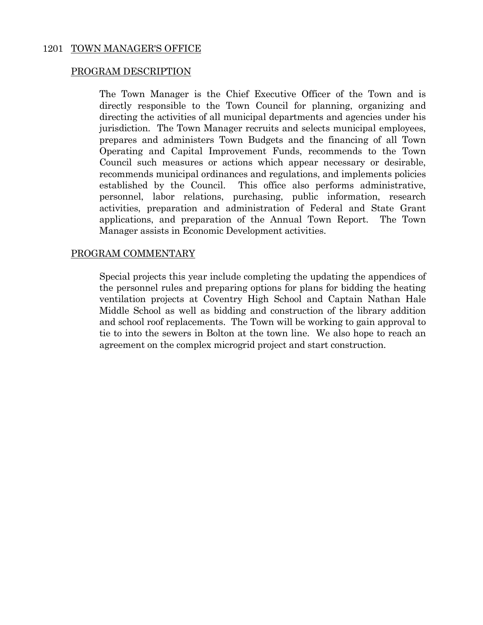## 1201 TOWN MANAGER'S OFFICE

## PROGRAM DESCRIPTION

 The Town Manager is the Chief Executive Officer of the Town and is directly responsible to the Town Council for planning, organizing and directing the activities of all municipal departments and agencies under his jurisdiction. The Town Manager recruits and selects municipal employees, prepares and administers Town Budgets and the financing of all Town Operating and Capital Improvement Funds, recommends to the Town Council such measures or actions which appear necessary or desirable, recommends municipal ordinances and regulations, and implements policies established by the Council. This office also performs administrative, personnel, labor relations, purchasing, public information, research activities, preparation and administration of Federal and State Grant applications, and preparation of the Annual Town Report. The Town Manager assists in Economic Development activities.

## PROGRAM COMMENTARY

 Special projects this year include completing the updating the appendices of the personnel rules and preparing options for plans for bidding the heating ventilation projects at Coventry High School and Captain Nathan Hale Middle School as well as bidding and construction of the library addition and school roof replacements. The Town will be working to gain approval to tie to into the sewers in Bolton at the town line. We also hope to reach an agreement on the complex microgrid project and start construction.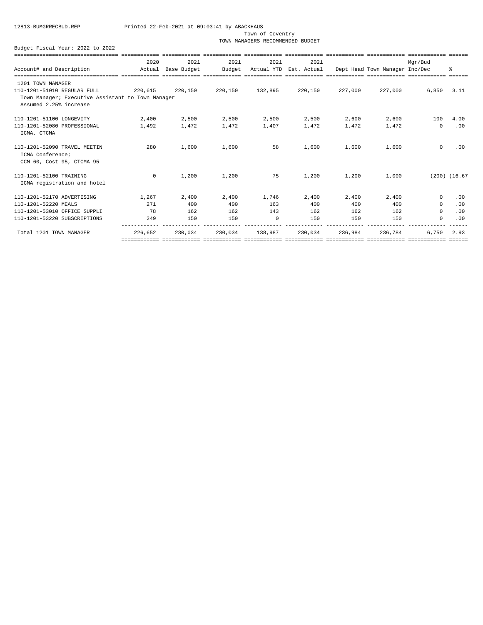Town of Coventry

TOWN MANAGERS RECOMMENDED BUDGET

|                                                                               | 2020               | 2021    | 2021    | 2021            | 2021                                                  |         |         | Mar/Bud    |                   |
|-------------------------------------------------------------------------------|--------------------|---------|---------|-----------------|-------------------------------------------------------|---------|---------|------------|-------------------|
| Account# and Description                                                      | Actual Base Budget |         | Budget  |                 | Actual YTD Est. Actual Dept Head Town Manager Inc/Dec |         |         |            | ⊱                 |
|                                                                               |                    |         |         |                 |                                                       |         |         |            |                   |
| 1201 TOWN MANAGER                                                             |                    |         |         |                 |                                                       |         |         |            |                   |
| 110-1201-51010 REGULAR FULL                                                   | 220,615 220,150    |         |         | 220,150 132,895 | 220,150                                               | 227,000 | 227,000 | 6,850      | 3.11              |
| Town Manager; Executive Assistant to Town Manager<br>Assumed 2.25% increase   |                    |         |         |                 |                                                       |         |         |            |                   |
| 110-1201-51100 LONGEVITY                                                      | 2,400              | 2,500   | 2,500   | 2,500           | 2,500                                                 | 2,600   | 2,600   | 100        | 4.00              |
| 110-1201-52080 PROFESSIONAL<br>ICMA, CTCMA                                    | 1,492              | 1,472   | 1,472   | 1,407           | 1,472                                                 | 1,472   | 1,472   | $\Omega$   | .00               |
| 110-1201-52090 TRAVEL MEETIN<br>ICMA Conference;<br>CCM 60, Cost 95, CTCMA 95 | 280                | 1,600   | 1,600   | 58              | 1,600                                                 | 1,600   | 1,600   | $\circ$    | .00               |
| 110-1201-52100 TRAINING<br>ICMA registration and hotel                        | $\overline{0}$     | 1,200   | 1,200   | 75              | 1,200                                                 | 1,200   | 1,000   |            | $(200)$ $(16.67)$ |
| 110-1201-52170 ADVERTISING                                                    | 1,267              | 2,400   | 2,400   | 1,746           | 2,400                                                 | 2,400   | 2,400   | $^{\circ}$ | .00               |
| 110-1201-52220 MEALS                                                          | 271                | 400     | 400     | 163             | 400                                                   | 400     | 400     | $^{\circ}$ | .00               |
| 110-1201-53010 OFFICE SUPPLI                                                  | 78                 | 162     | 162     | 143             | 162                                                   | 162     | 162     | $\Omega$   | .00               |
| 110-1201-53220 SUBSCRIPTIONS                                                  | 249                | 150     | 150     | $\Omega$        | 150                                                   | 150     | 150     | $\Omega$   | .00               |
| Total 1201 TOWN MANAGER                                                       | 226,652            | 230,034 | 230,034 | 138,987         | 230,034                                               | 236,984 | 236,784 | 6,750      | 2.93              |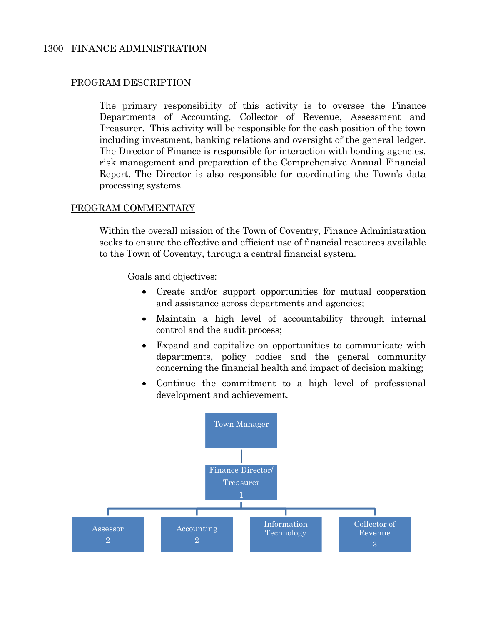## 1300 FINANCE ADMINISTRATION

## PROGRAM DESCRIPTION

 The primary responsibility of this activity is to oversee the Finance Departments of Accounting, Collector of Revenue, Assessment and Treasurer. This activity will be responsible for the cash position of the town including investment, banking relations and oversight of the general ledger. The Director of Finance is responsible for interaction with bonding agencies, risk management and preparation of the Comprehensive Annual Financial Report. The Director is also responsible for coordinating the Town's data processing systems.

## PROGRAM COMMENTARY

Within the overall mission of the Town of Coventry, Finance Administration seeks to ensure the effective and efficient use of financial resources available to the Town of Coventry, through a central financial system.

Goals and objectives:

- Create and/or support opportunities for mutual cooperation and assistance across departments and agencies;
- Maintain a high level of accountability through internal control and the audit process;
- Expand and capitalize on opportunities to communicate with departments, policy bodies and the general community concerning the financial health and impact of decision making;
- Continue the commitment to a high level of professional development and achievement.

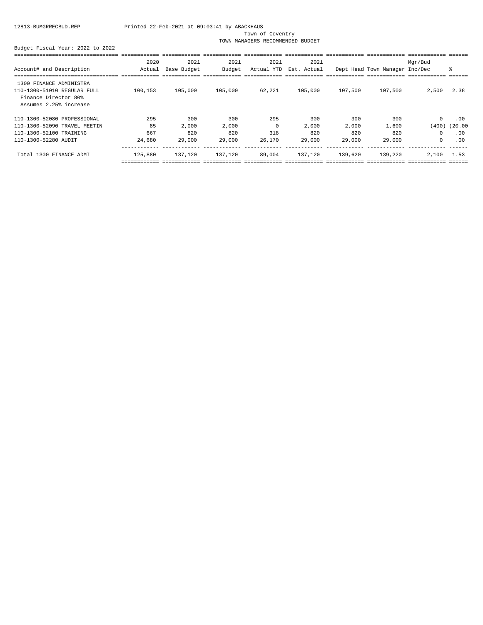Town of Coventry

TOWN MANAGERS RECOMMENDED BUDGET

|                              | 2020    | 2021        | 2021    | 2021       | 2021        |         |                                | Mgr/Bud |         |
|------------------------------|---------|-------------|---------|------------|-------------|---------|--------------------------------|---------|---------|
| Account# and Description     | Actual  | Base Budget | Budget  | Actual YTD | Est. Actual |         | Dept Head Town Manager Inc/Dec |         | ႜ       |
|                              |         |             |         |            |             |         |                                |         |         |
| 1300 FINANCE ADMINISTRA      |         |             |         |            |             |         |                                |         |         |
| 110-1300-51010 REGULAR FULL  | 100,153 | 105,000     | 105,000 | 62,221     | 105,000     | 107,500 | 107,500                        | 2,500   | 2.38    |
| Finance Director 80%         |         |             |         |            |             |         |                                |         |         |
| Assumes 2.25% increase       |         |             |         |            |             |         |                                |         |         |
| 110-1300-52080 PROFESSIONAL  | 295     | 300         | 300     | 295        | 300         | 300     | 300                            | $\circ$ | .00     |
| 110-1300-52090 TRAVEL MEETIN | 85      | 2,000       | 2,000   | 0          | 2,000       | 2,000   | 1,600                          | (400)   | (20.00) |
| 110-1300-52100 TRAINING      | 667     | 820         | 820     | 318        | 820         | 820     | 820                            | $\circ$ | .00     |
| 110-1300-52280 AUDIT         | 24,680  | 29,000      | 29,000  | 26,170     | 29,000      | 29,000  | 29,000                         | 0       | .00     |
| Total 1300 FINANCE ADMI      | 125,880 | 137,120     | 137,120 | 89,004     | 137,120     | 139,620 | 139,220                        | 2,100   | 1.53    |
|                              |         |             |         |            |             |         |                                |         |         |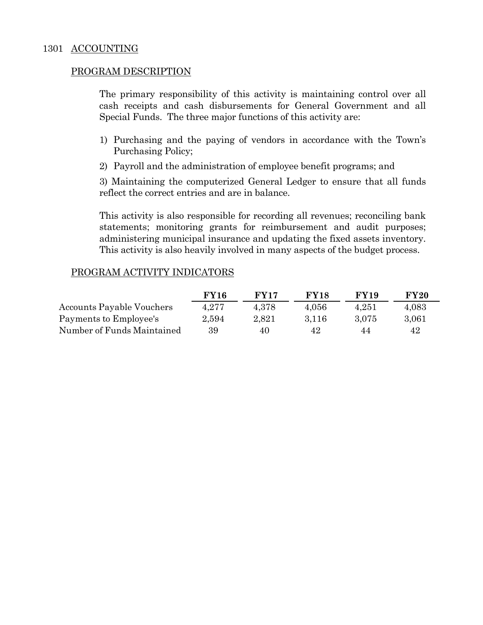The primary responsibility of this activity is maintaining control over all cash receipts and cash disbursements for General Government and all Special Funds. The three major functions of this activity are:

- 1) Purchasing and the paying of vendors in accordance with the Town's Purchasing Policy;
- 2) Payroll and the administration of employee benefit programs; and

3) Maintaining the computerized General Ledger to ensure that all funds reflect the correct entries and are in balance.

 This activity is also responsible for recording all revenues; reconciling bank statements; monitoring grants for reimbursement and audit purposes; administering municipal insurance and updating the fixed assets inventory. This activity is also heavily involved in many aspects of the budget process.

## PROGRAM ACTIVITY INDICATORS

|                            | <b>FY16</b> | <b>FY17</b> | <b>FY18</b> | <b>FY19</b> | <b>FY20</b> |
|----------------------------|-------------|-------------|-------------|-------------|-------------|
| Accounts Payable Vouchers  | 4.277       | 4.378       | 4.056       | 4.251       | 4,083       |
| Payments to Employee's     | 2,594       | 2,821       | 3.116       | 3.075       | 3,061       |
| Number of Funds Maintained | 39          | 40          | 42          | 44          | 42          |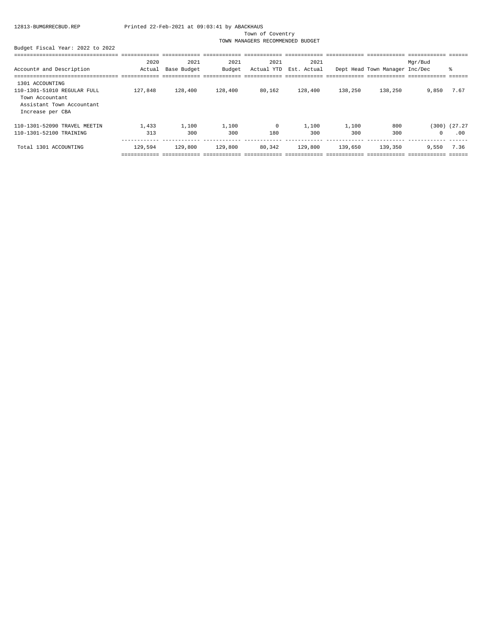Town of Coventry

TOWN MANAGERS RECOMMENDED BUDGET

|                                                                                                                    | 2020         | 2021         | 2021         | 2021              | 2021         |              |                                | Mgr/Bud    |                          |
|--------------------------------------------------------------------------------------------------------------------|--------------|--------------|--------------|-------------------|--------------|--------------|--------------------------------|------------|--------------------------|
| Account# and Description                                                                                           | Actual       | Base Budget  | Budget       | Actual YTD        | Est. Actual  |              | Dept Head Town Manager Inc/Dec |            | ి                        |
|                                                                                                                    |              |              |              |                   |              |              |                                |            |                          |
| 1301 ACCOUNTING<br>110-1301-51010 REGULAR FULL<br>Town Accountant<br>Assistant Town Accountant<br>Increase per CBA | 127,848      | 128,400      | 128,400      | 80,162            | 128,400      | 138,250      | 138,250                        | 9,850      | 7.67                     |
| 110-1301-52090 TRAVEL MEETIN<br>110-1301-52100 TRAINING                                                            | 1,433<br>313 | 1,100<br>300 | 1,100<br>300 | $^{\circ}$<br>180 | 1,100<br>300 | 1,100<br>300 | 800<br>300                     | $^{\circ}$ | $(300)$ $(27.27)$<br>.00 |
| Total 1301 ACCOUNTING                                                                                              | 129,594      | 129,800      | 129,800      | 80,342            | 129,800      | 139,650      | 139,350                        | 9.550      | 7.36                     |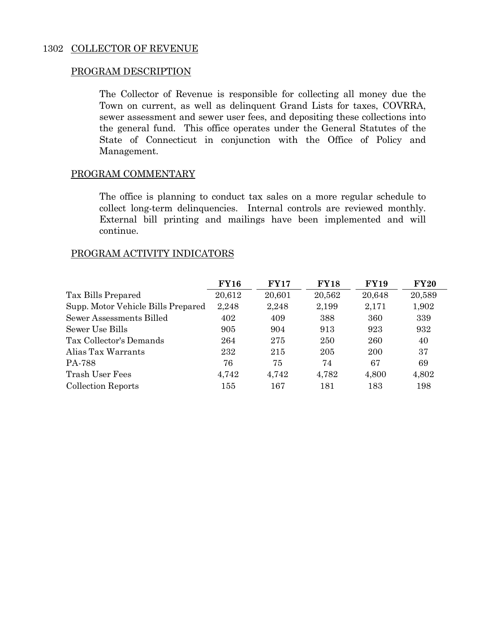The Collector of Revenue is responsible for collecting all money due the Town on current, as well as delinquent Grand Lists for taxes, COVRRA, sewer assessment and sewer user fees, and depositing these collections into the general fund. This office operates under the General Statutes of the State of Connecticut in conjunction with the Office of Policy and Management.

## PROGRAM COMMENTARY

 The office is planning to conduct tax sales on a more regular schedule to collect long-term delinquencies. Internal controls are reviewed monthly. External bill printing and mailings have been implemented and will continue.

## PROGRAM ACTIVITY INDICATORS

|                                    | <b>FY16</b> | <b>FY17</b> | <b>FY18</b> | <b>FY19</b> | <b>FY20</b> |
|------------------------------------|-------------|-------------|-------------|-------------|-------------|
| Tax Bills Prepared                 | 20,612      | 20,601      | 20,562      | 20,648      | 20,589      |
| Supp. Motor Vehicle Bills Prepared | 2,248       | 2,248       | 2,199       | 2,171       | 1,902       |
| Sewer Assessments Billed           | 402         | 409         | 388         | 360         | 339         |
| Sewer Use Bills                    | 905         | 904         | 913         | 923         | 932         |
| Tax Collector's Demands            | 264         | 275         | 250         | 260         | 40          |
| Alias Tax Warrants                 | 232         | 215         | 205         | 200         | 37          |
| PA-788                             | 76          | 75          | 74          | 67          | 69          |
| Trash User Fees                    | 4,742       | 4,742       | 4,782       | 4,800       | 4,802       |
| <b>Collection Reports</b>          | 155         | 167         | 181         | 183         | 198         |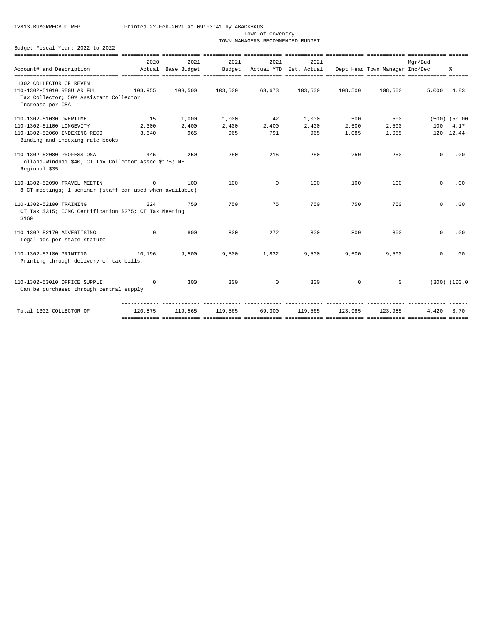Town of Coventry

TOWN MANAGERS RECOMMENDED BUDGET

|                                                          | 2020       | 2021               | 2021    | 2021        | 2021                   |         |                                | Mar/Bud     |                   |
|----------------------------------------------------------|------------|--------------------|---------|-------------|------------------------|---------|--------------------------------|-------------|-------------------|
| Account# and Description                                 |            | Actual Base Budget | Budget  |             | Actual YTD Est. Actual |         | Dept Head Town Manager Inc/Dec |             | 昙                 |
|                                                          |            |                    |         |             |                        |         |                                |             |                   |
| 1302 COLLECTOR OF REVEN<br>110-1302-51010 REGULAR FULL   | 103,955    | 103,500            | 103,500 | 63,673      | 103,500                | 108,500 | 108,500                        | 5,000       | 4.83              |
| Tax Collector; 50% Assistant Collector                   |            |                    |         |             |                        |         |                                |             |                   |
| Increase per CBA                                         |            |                    |         |             |                        |         |                                |             |                   |
|                                                          |            |                    |         |             |                        |         |                                |             |                   |
| 110-1302-51030 OVERTIME                                  | 15         | 1,000              | 1,000   | 42          | 1,000                  | 500     | 500                            |             | $(500)$ $(50.00)$ |
| 110-1302-51100 LONGEVITY                                 | 2,300      | 2,400              | 2,400   | 2,400       | 2,400                  | 2,500   | 2,500                          | 100         | 4.17              |
| 110-1302-52060 INDEXING RECO                             | 3,640      | 965                | 965     | 791         | 965                    | 1,085   | 1,085                          |             | 120 12.44         |
| Binding and indexing rate books                          |            |                    |         |             |                        |         |                                |             |                   |
| 110-1302-52080 PROFESSIONAL                              | 445        | 250                | 250     | 215         | 250                    | 250     | 250                            | $\mathbf 0$ | .00               |
| Tolland-Windham \$40; CT Tax Collector Assoc \$175; NE   |            |                    |         |             |                        |         |                                |             |                   |
| Regional \$35                                            |            |                    |         |             |                        |         |                                |             |                   |
|                                                          |            |                    |         |             |                        |         |                                |             |                   |
| 110-1302-52090 TRAVEL MEETIN                             | $^{\circ}$ | 100                | 100     | $\mathbf 0$ | 100                    | 100     | 100                            | $\mathbf 0$ | .00               |
| 8 CT meetings; 1 seminar (staff car used when available) |            |                    |         |             |                        |         |                                |             |                   |
|                                                          |            |                    |         |             |                        |         |                                |             |                   |
| 110-1302-52100 TRAINING                                  | 324        | 750                | 750     | 75          | 750                    | 750     | 750                            | $\Omega$    | .00               |
| CT Tax \$315; CCMC Certification \$275; CT Tax Meeting   |            |                    |         |             |                        |         |                                |             |                   |
| \$160                                                    |            |                    |         |             |                        |         |                                |             |                   |
|                                                          |            |                    |         |             |                        |         |                                |             |                   |
| 110-1302-52170 ADVERTISING                               | $\Omega$   | 800                | 800     | 272         | 800                    | 800     | 800                            | $\Omega$    | .00               |
| Legal ads per state statute                              |            |                    |         |             |                        |         |                                |             |                   |
| 110-1302-52180 PRINTING                                  | 10,196     | 9,500              | 9,500   | 1,832       | 9,500                  | 9,500   | 9,500                          | $^{\circ}$  | .00               |
| Printing through delivery of tax bills.                  |            |                    |         |             |                        |         |                                |             |                   |
|                                                          |            |                    |         |             |                        |         |                                |             |                   |
|                                                          |            |                    |         |             |                        |         |                                |             |                   |
| 110-1302-53010 OFFICE SUPPLI                             | $\Omega$   | 300                | 300     | $\circ$     | 300                    | $\circ$ | $^{\circ}$                     |             | $(300)$ $(100.0$  |
| Can be purchased through central supply                  |            |                    |         |             |                        |         |                                |             |                   |
|                                                          |            |                    |         |             |                        |         |                                |             |                   |
| Total 1302 COLLECTOR OF                                  | 120,875    | 119,565            | 119,565 | 69,300      | 119,565                | 123,985 | 123,985                        | 4,420       | 3.70              |
|                                                          |            |                    |         |             |                        |         |                                |             |                   |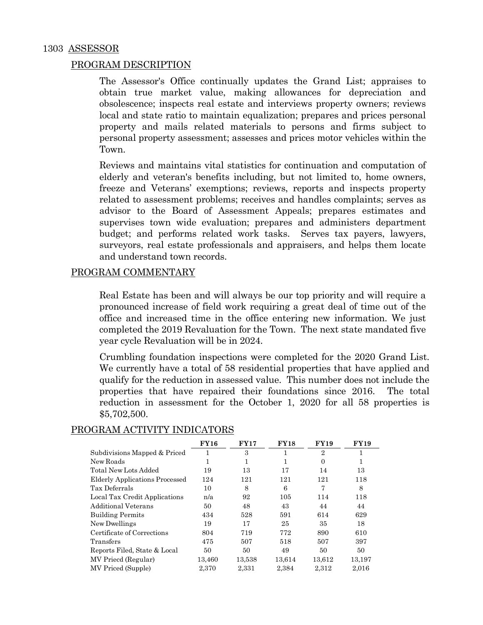The Assessor's Office continually updates the Grand List; appraises to obtain true market value, making allowances for depreciation and obsolescence; inspects real estate and interviews property owners; reviews local and state ratio to maintain equalization; prepares and prices personal property and mails related materials to persons and firms subject to personal property assessment; assesses and prices motor vehicles within the Town.

 Reviews and maintains vital statistics for continuation and computation of elderly and veteran's benefits including, but not limited to, home owners, freeze and Veterans' exemptions; reviews, reports and inspects property related to assessment problems; receives and handles complaints; serves as advisor to the Board of Assessment Appeals; prepares estimates and supervises town wide evaluation; prepares and administers department budget; and performs related work tasks. Serves tax payers, lawyers, surveyors, real estate professionals and appraisers, and helps them locate and understand town records.

## PROGRAM COMMENTARY

 Real Estate has been and will always be our top priority and will require a pronounced increase of field work requiring a great deal of time out of the office and increased time in the office entering new information. We just completed the 2019 Revaluation for the Town. The next state mandated five year cycle Revaluation will be in 2024.

 Crumbling foundation inspections were completed for the 2020 Grand List. We currently have a total of 58 residential properties that have applied and qualify for the reduction in assessed value. This number does not include the properties that have repaired their foundations since 2016. The total reduction in assessment for the October 1, 2020 for all 58 properties is \$5,702,500.

|                                | <b>FY16</b> | <b>FY17</b> | <b>FY18</b> | <b>FY19</b>    | <b>FY19</b> |
|--------------------------------|-------------|-------------|-------------|----------------|-------------|
| Subdivisions Mapped & Priced   |             | 3           |             | $\overline{2}$ |             |
| New Roads                      |             | 1           | 1           | $\Omega$       | 1           |
| Total New Lots Added           | 19          | 13          | 17          | 14             | 13          |
| Elderly Applications Processed | 124         | 121         | 121         | 121            | 118         |
| Tax Deferrals                  | 10          | 8           | 6           | 7              | 8           |
| Local Tax Credit Applications  | n/a         | 92          | 105         | 114            | 118         |
| <b>Additional Veterans</b>     | 50          | 48          | 43          | 44             | 44          |
| <b>Building Permits</b>        | 434         | 528         | 591         | 614            | 629         |
| New Dwellings                  | 19          | 17          | 25          | 35             | 18          |
| Certificate of Corrections     | 804         | 719         | 772         | 890            | 610         |
| Transfers                      | 475         | 507         | 518         | 507            | 397         |
| Reports Filed, State & Local   | 50          | 50          | 49          | 50             | 50          |
| MV Priecd (Regular)            | 13,460      | 13,538      | 13,614      | 13,612         | 13,197      |
| MV Priced (Supple)             | 2,370       | 2,331       | 2,384       | 2,312          | 2,016       |

## PROGRAM ACTIVITY INDICATORS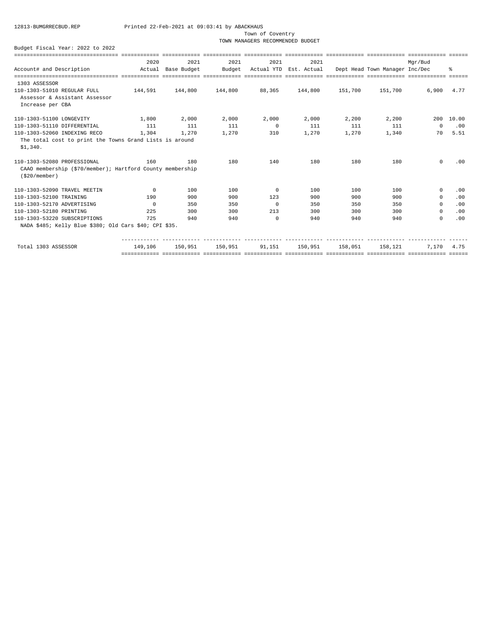Town of Coventry

TOWN MANAGERS RECOMMENDED BUDGET

| sicclescializacioniscializacioni consecutare consecutare consecutare sicclesciali consecutare consecutare sicc |                                                  |         |                                                                                                                |                |       |                                |                                                       |          |            |
|----------------------------------------------------------------------------------------------------------------|--------------------------------------------------|---------|----------------------------------------------------------------------------------------------------------------|----------------|-------|--------------------------------|-------------------------------------------------------|----------|------------|
|                                                                                                                | 2020                                             | 2021    | 2021                                                                                                           | 2021           | 2021  |                                |                                                       | Mar/Bud  |            |
| Account# and Description                                                                                       | Actual Base Budget                               |         | Budget                                                                                                         |                |       |                                | Actual YTD Est. Actual Dept Head Town Manager Inc/Dec |          | ፝          |
|                                                                                                                |                                                  |         |                                                                                                                |                |       |                                |                                                       |          |            |
| 1303 ASSESSOR<br>110-1303-51010 REGULAR FULL<br>Assessor & Assistant Assessor<br>Increase per CBA              | $144.591$ $144.800$ $144.800$ $88.365$ $144.800$ |         |                                                                                                                |                |       | 151,700                        | 151,700                                               | 6,900    | 4.77       |
| 110-1303-51100 LONGEVITY                                                                                       | 1,800                                            | 2,000   | 2,000                                                                                                          | 2,000          | 2,000 | 2,200                          | 2,200                                                 |          | 200 10.00  |
| 110-1303-51110 DIFFERENTIAL                                                                                    | 111                                              | 111     | 111                                                                                                            | $\overline{0}$ | 111   | 111                            | 111                                                   | $\Omega$ | .00        |
| 110-1303-52060 INDEXING RECO                                                                                   | 1,304                                            | 1,270   | 1,270                                                                                                          | 310            | 1,270 | 1,270                          | 1,340                                                 | 70       | 5.51       |
| The total cost to print the Towns Grand Lists is around<br>\$1,340.                                            |                                                  |         |                                                                                                                |                |       |                                |                                                       |          |            |
| 110-1303-52080 PROFESSIONAL<br>CAAO membership (\$70/member); Hartford County membership<br>$( $20/m$ ember)   | 160                                              | 180     | 180                                                                                                            | 140            | 180   | 180                            | 180                                                   | $\Omega$ | .00        |
| 110-1303-52090 TRAVEL MEETIN                                                                                   | $\overline{0}$                                   | 100     | 100                                                                                                            | $\Omega$       | 100   | 100                            | 100                                                   | $\Omega$ | .00        |
| 110-1303-52100 TRAINING                                                                                        | 190                                              | 900     | 900                                                                                                            | 123            | 900   | 900                            | 900                                                   | $\Omega$ | .00        |
| 110-1303-52170 ADVERTISING                                                                                     | $\Omega$                                         | 350     | 350                                                                                                            | $\Omega$       | 350   | 350                            | 350                                                   | $\Omega$ | .00        |
| 110-1303-52180 PRINTING                                                                                        | 225                                              | 300     | 300                                                                                                            | 213            | 300   | 300                            | 300                                                   | $\Omega$ | .00        |
| 110-1303-53220 SUBSCRIPTIONS                                                                                   | 725                                              | 940     | 940                                                                                                            | $\Omega$       | 940   | 940                            | 940                                                   | $\Omega$ | .00        |
| NADA \$485; Kelly Blue \$380; Old Cars \$40; CPI \$35.                                                         |                                                  |         |                                                                                                                |                |       |                                |                                                       |          |            |
| Total 1303 ASSESSOR                                                                                            | 149,106                                          | 150,951 | <u>tiotisistis sitiotisist sitiotisist tiotisistis tiotisistis sitiotisisti tiotisistis tiotisistist sitio</u> |                |       | 150,951 91,151 150,951 158,051 | 158,121                                               |          | 7.170 4.75 |
|                                                                                                                |                                                  |         |                                                                                                                |                |       |                                |                                                       |          |            |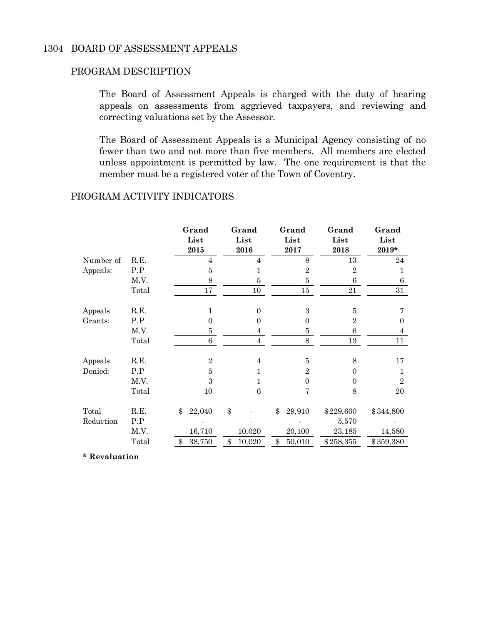## 1304 BOARD OF ASSESSMENT APPEALS

## PROGRAM DESCRIPTION

 The Board of Assessment Appeals is charged with the duty of hearing appeals on assessments from aggrieved taxpayers, and reviewing and correcting valuations set by the Assessor.

 The Board of Assessment Appeals is a Municipal Agency consisting of no fewer than two and not more than five members. All members are elected unless appointment is permitted by law. The one requirement is that the member must be a registered voter of the Town of Coventry.

## PROGRAM ACTIVITY INDICATORS

|           |       | Grand<br>List<br>2015 | Grand<br>List<br>2016 | Grand<br>List<br>2017 | Grand<br>List<br>2018 | Grand<br>List<br>2019* |
|-----------|-------|-----------------------|-----------------------|-----------------------|-----------------------|------------------------|
| Number of | R.E.  | $\overline{4}$        | $\overline{4}$        | 8                     | 13                    | 24                     |
| Appeals:  | P.P   | $\bf 5$               | 1                     | $\overline{2}$        | $\overline{2}$        | 1                      |
|           | M.V.  | 8                     | $\bf 5$               | $\bf 5$               | 6                     | 6                      |
|           | Total | 17                    | 10                    | 15                    | 21                    | 31                     |
| Appeals   | R.E.  | 1                     | $\overline{0}$        | 3                     | $\overline{5}$        |                        |
| Grants:   | P.P   | $\Omega$              | $\overline{0}$        | 0                     | $\overline{2}$        | $\Omega$               |
|           | M.V.  | $\bf 5$               | 4                     | $\bf 5$               | 6                     | 4                      |
|           | Total | 6                     | $\overline{4}$        | 8                     | 13                    | 11                     |
| Appeals   | R.E.  | $\overline{2}$        | $\overline{4}$        | $\bf 5$               | 8                     | 17                     |
| Denied:   | P.P   | 5                     | 1                     | $\overline{2}$        | $\boldsymbol{0}$      | 1                      |
|           | M.V.  | $\boldsymbol{3}$      | 1                     | $\overline{0}$        | $\boldsymbol{0}$      | $\overline{2}$         |
|           | Total | 10                    | 6                     | 7                     | 8                     | 20                     |
| Total     | R.E.  | \$<br>22,040          | \$                    | \$<br>29,910          | \$229,600             | \$344,800              |
| Reduction | P.P   |                       |                       |                       | 5,570                 |                        |
|           | M.V.  | 16,710                | 10,020                | 20,100                | 23,185                | 14,580                 |
|           | Total | \$<br>38,750          | \$<br>10,020          | \$<br>50,010          | \$258,355             | \$359,380              |

**\* Revaluation**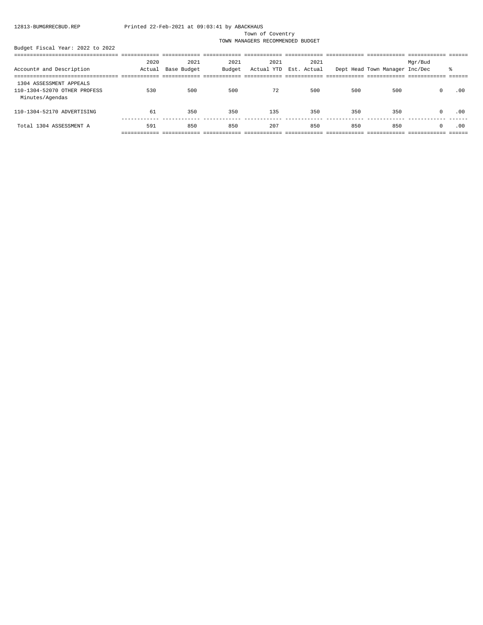### Town of Coventry

TOWN MANAGERS RECOMMENDED BUDGET

|                              | 2020   | 2021        | 2021   | 2021 | 2021                   |     |                                | Mgr/Bud    |     |
|------------------------------|--------|-------------|--------|------|------------------------|-----|--------------------------------|------------|-----|
| Account# and Description     | Actual | Base Budget | Budget |      | Actual YTD Est. Actual |     | Dept Head Town Manager Inc/Dec |            | ま   |
|                              |        |             |        |      |                        |     |                                |            |     |
| 1304 ASSESSMENT APPEALS      |        |             |        |      |                        |     |                                |            |     |
| 110-1304-52070 OTHER PROFESS | 530    | 500         | 500    | 72   | 500                    | 500 | 500                            | $\circ$    | .00 |
| Minutes/Agendas              |        |             |        |      |                        |     |                                |            |     |
|                              |        |             |        |      |                        |     |                                |            |     |
| 110-1304-52170 ADVERTISING   | 61     | 350         | 350    | 135  | 350                    | 350 | 350                            | $^{\circ}$ | .00 |
|                              |        |             |        |      |                        |     |                                |            |     |
| Total 1304 ASSESSMENT A      | 591    | 850         | 850    | 207  | 850                    | 850 | 850                            | $\Omega$   | .00 |
|                              |        |             |        |      |                        |     |                                |            |     |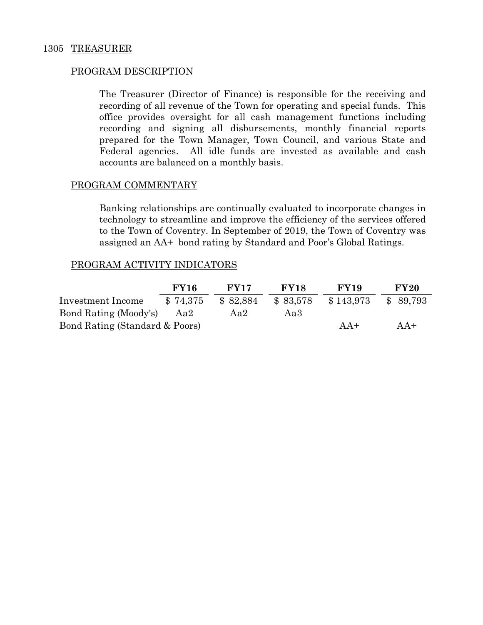The Treasurer (Director of Finance) is responsible for the receiving and recording of all revenue of the Town for operating and special funds. This office provides oversight for all cash management functions including recording and signing all disbursements, monthly financial reports prepared for the Town Manager, Town Council, and various State and Federal agencies. All idle funds are invested as available and cash accounts are balanced on a monthly basis.

## PROGRAM COMMENTARY

 Banking relationships are continually evaluated to incorporate changes in technology to streamline and improve the efficiency of the services offered to the Town of Coventry. In September of 2019, the Town of Coventry was assigned an AA+ bond rating by Standard and Poor's Global Ratings.

## PROGRAM ACTIVITY INDICATORS

|                                | <b>FY16</b> | <b>FY17</b> | <b>FY18</b> | <b>FY19</b> | <b>FY20</b> |
|--------------------------------|-------------|-------------|-------------|-------------|-------------|
| Investment Income              | \$74,375    | \$82,884    | \$83,578    | \$143,973   | \$ 89.793   |
| Bond Rating (Moody's)          | Aa2         | Aa2         | Aa3         |             |             |
| Bond Rating (Standard & Poors) |             |             |             | $AA+$       | $AA+$       |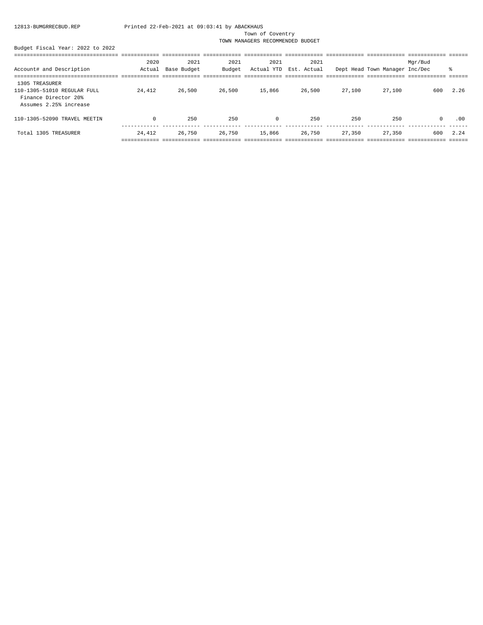### Town of Coventry

TOWN MANAGERS RECOMMENDED BUDGET

|  | Budget Fiscal Year: 2022 to 2022 |  |  |
|--|----------------------------------|--|--|
|  |                                  |  |  |

|                                                                                                 | 2020   | 2021        | 2021   | 2021   | 2021                   |        |                                | Mgr/Bud |      |
|-------------------------------------------------------------------------------------------------|--------|-------------|--------|--------|------------------------|--------|--------------------------------|---------|------|
| Account# and Description                                                                        | Actual | Base Budget | Budget |        | Actual YTD Est. Actual |        | Dept Head Town Manager Inc/Dec |         | ፝ዼ   |
|                                                                                                 |        |             |        |        |                        |        |                                |         |      |
| 1305 TREASURER<br>110-1305-51010 REGULAR FULL<br>Finance Director 20%<br>Assumes 2.25% increase | 24,412 | 26,500      | 26,500 | 15,866 | 26,500                 | 27,100 | 27,100                         | 600     | 2.26 |
| 110-1305-52090 TRAVEL MEETIN                                                                    | 0      | 250         | 250    | 0      | 250                    | 250    | 250                            | $\circ$ | .00  |
| Total 1305 TREASURER                                                                            | 24,412 | 26,750      | 26,750 | 15,866 | 26,750                 | 27,350 | 27,350                         | 600     | 2.24 |
|                                                                                                 |        |             |        |        |                        |        |                                |         |      |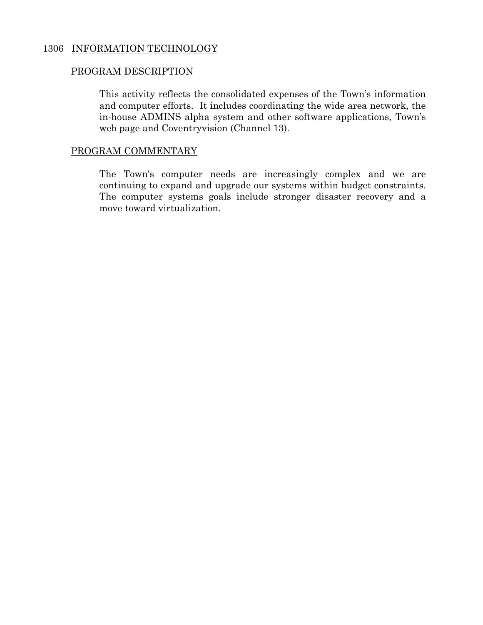## 1306 INFORMATION TECHNOLOGY

## PROGRAM DESCRIPTION

This activity reflects the consolidated expenses of the Town's information and computer efforts. It includes coordinating the wide area network, the in-house ADMINS alpha system and other software applications, Town's web page and Coventryvision (Channel 13).

## PROGRAM COMMENTARY

The Town's computer needs are increasingly complex and we are continuing to expand and upgrade our systems within budget constraints. The computer systems goals include stronger disaster recovery and a move toward virtualization.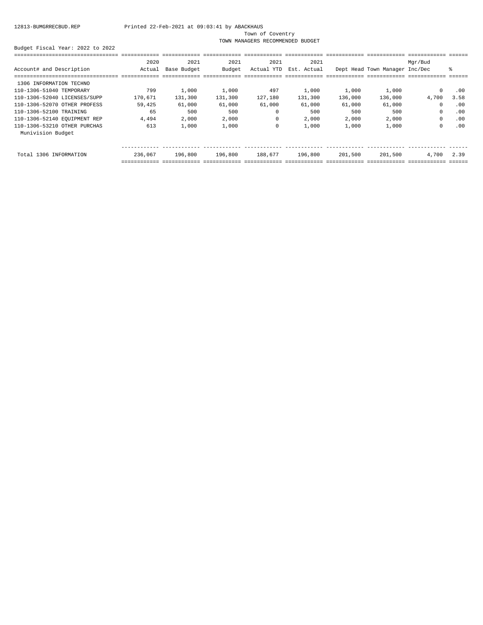Town of Coventry

TOWN MANAGERS RECOMMENDED BUDGET

|                              | 2020    | 2021        | 2021    | 2021       | 2021        |         |                                | Mgr/Bud     |      |
|------------------------------|---------|-------------|---------|------------|-------------|---------|--------------------------------|-------------|------|
| Account# and Description     | Actual  | Base Budget | Budget  | Actual YTD | Est. Actual |         | Dept Head Town Manager Inc/Dec |             | ⊱    |
|                              |         |             |         |            |             |         |                                |             |      |
| 1306 INFORMATION TECHNO      |         |             |         |            |             |         |                                |             |      |
| 110-1306-51040 TEMPORARY     | 799     | 1,000       | 1,000   | 497        | 1,000       | 1,000   | 1,000                          | $^{\circ}$  | .00  |
| 110-1306-52040 LICENSES/SUPP | 170,671 | 131,300     | 131,300 | 127,180    | 131,300     | 136,000 | 136,000                        | 4,700       | 3.58 |
| 110-1306-52070 OTHER PROFESS | 59,425  | 61,000      | 61,000  | 61,000     | 61,000      | 61,000  | 61,000                         | 0           | .00  |
| 110-1306-52100 TRAINING      | 65      | 500         | 500     | $\Omega$   | 500         | 500     | 500                            | $\Omega$    | .00  |
| 110-1306-52140 EQUIPMENT REP | 4,494   | 2,000       | 2,000   | 0          | 2,000       | 2,000   | 2,000                          | $\mathbf 0$ | .00  |
| 110-1306-53210 OTHER PURCHAS | 613     | 1,000       | 1,000   | $\Omega$   | 1,000       | 1,000   | 1,000                          | 0           | .00  |
| Munivision Budget            |         |             |         |            |             |         |                                |             |      |
|                              |         |             |         |            |             |         |                                |             |      |
| Total 1306 INFORMATION       | 236,067 | 196,800     | 196,800 | 188,677    | 196,800     | 201,500 | 201,500                        | 4,700       | 2.39 |
|                              |         |             |         |            |             |         |                                |             |      |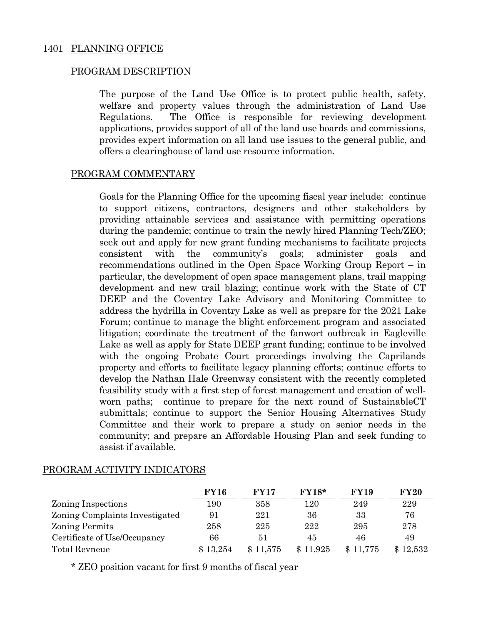The purpose of the Land Use Office is to protect public health, safety, welfare and property values through the administration of Land Use Regulations. The Office is responsible for reviewing development applications, provides support of all of the land use boards and commissions, provides expert information on all land use issues to the general public, and offers a clearinghouse of land use resource information.

## PROGRAM COMMENTARY

Goals for the Planning Office for the upcoming fiscal year include: continue to support citizens, contractors, designers and other stakeholders by providing attainable services and assistance with permitting operations during the pandemic; continue to train the newly hired Planning Tech/ZEO; seek out and apply for new grant funding mechanisms to facilitate projects consistent with the community's goals; administer goals and recommendations outlined in the Open Space Working Group Report – in particular, the development of open space management plans, trail mapping development and new trail blazing; continue work with the State of CT DEEP and the Coventry Lake Advisory and Monitoring Committee to address the hydrilla in Coventry Lake as well as prepare for the 2021 Lake Forum; continue to manage the blight enforcement program and associated litigation; coordinate the treatment of the fanwort outbreak in Eagleville Lake as well as apply for State DEEP grant funding; continue to be involved with the ongoing Probate Court proceedings involving the Caprilands property and efforts to facilitate legacy planning efforts; continue efforts to develop the Nathan Hale Greenway consistent with the recently completed feasibility study with a first step of forest management and creation of wellworn paths; continue to prepare for the next round of SustainableCT submittals; continue to support the Senior Housing Alternatives Study Committee and their work to prepare a study on senior needs in the community; and prepare an Affordable Housing Plan and seek funding to assist if available.

|                                | <b>FY16</b> | <b>FY17</b> | $FY18*$  | <b>FY19</b> | <b>FY20</b> |
|--------------------------------|-------------|-------------|----------|-------------|-------------|
| Zoning Inspections             | 190         | 358         | l 20     | 249         | 229         |
| Zoning Complaints Investigated | 91          | 221         | 36       | 33          | 76          |
| <b>Zoning Permits</b>          | 258         | 225         | 222      | 295         | 278         |
| Certificate of Use/Occupancy   | 66          | 51          | 45       | 46          | 49          |
| Total Revneue                  | \$13,254    | \$11,575    | \$11,925 | \$11,775    | \$12,532    |

## PROGRAM ACTIVITY INDICATORS

\* ZEO position vacant for first 9 months of fiscal year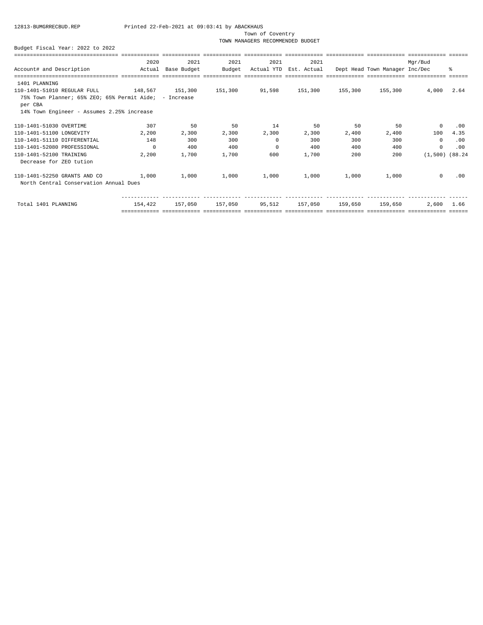Town of Coventry

TOWN MANAGERS RECOMMENDED BUDGET

|                                                                   | 2020     | 2021        | 2021    | 2021     | 2021                   |         |                                | Mar/Bud             |      |
|-------------------------------------------------------------------|----------|-------------|---------|----------|------------------------|---------|--------------------------------|---------------------|------|
| Account# and Description                                          | Actual   | Base Budget | Budget  |          | Actual YTD Est. Actual |         | Dept Head Town Manager Inc/Dec |                     | ま    |
| 1401 PLANNING                                                     |          |             |         |          |                        |         |                                |                     |      |
| 110-1401-51010 REGULAR FULL                                       | 148,567  | 151,300     | 151,300 | 91,598   | 151,300                | 155,300 | 155,300                        | 4,000               | 2.64 |
| 75% Town Planner; 65% ZEO; 65% Permit Aide; - Increase<br>per CBA |          |             |         |          |                        |         |                                |                     |      |
| 14% Town Engineer - Assumes 2.25% increase                        |          |             |         |          |                        |         |                                |                     |      |
| 110-1401-51030 OVERTIME                                           | 307      | 50          | 50      | 14       | 50                     | 50      | 50                             | $^{\circ}$          | .00  |
| 110-1401-51100 LONGEVITY                                          | 2,200    | 2,300       | 2,300   | 2,300    | 2,300                  | 2,400   | 2,400                          | 100                 | 4.35 |
| 110-1401-51110 DIFFERENTIAL                                       | 148      | 300         | 300     | $\Omega$ | 300                    | 300     | 300                            | $\Omega$            | .00  |
| 110-1401-52080 PROFESSIONAL                                       | $\Omega$ | 400         | 400     | $\Omega$ | 400                    | 400     | 400                            | $^{\circ}$          | .00  |
| 110-1401-52100 TRAINING                                           | 2,200    | 1,700       | 1,700   | 600      | 1,700                  | 200     | 200                            | $(1,500)$ $(88.24)$ |      |
| Decrease for ZEO tution                                           |          |             |         |          |                        |         |                                |                     |      |
| 110-1401-52250 GRANTS AND CO                                      | 1,000    | 1,000       | 1,000   | 1,000    | 1,000                  | 1,000   | 1,000                          | $\Omega$            | .00  |
| North Central Conservation Annual Dues                            |          |             |         |          |                        |         |                                |                     |      |
|                                                                   |          |             |         |          |                        |         |                                |                     |      |
| Total 1401 PLANNING                                               | 154,422  | 157,050     | 157,050 | 95,512   | 157,050                | 159,650 | 159,650                        | 2,600               | 1.66 |
|                                                                   |          |             |         |          |                        |         |                                |                     |      |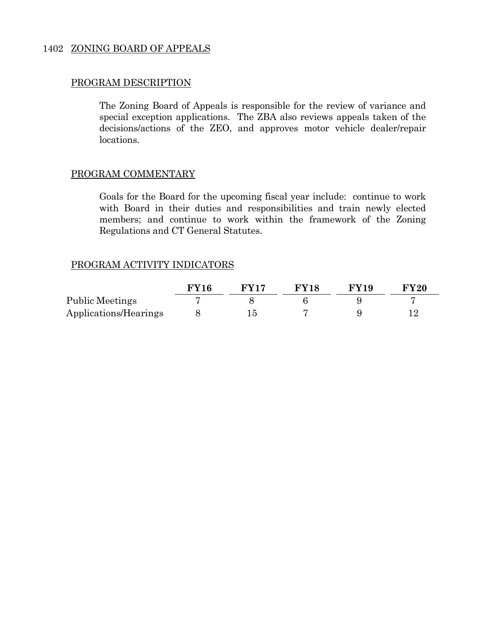## 1402 ZONING BOARD OF APPEALS

## PROGRAM DESCRIPTION

The Zoning Board of Appeals is responsible for the review of variance and special exception applications. The ZBA also reviews appeals taken of the decisions/actions of the ZEO, and approves motor vehicle dealer/repair locations.

## PROGRAM COMMENTARY

Goals for the Board for the upcoming fiscal year include: continue to work with Board in their duties and responsibilities and train newly elected members; and continue to work within the framework of the Zoning Regulations and CT General Statutes.

## PROGRAM ACTIVITY INDICATORS

|                       | FY16 | <b>FV17</b> | <b>FY18</b> | $\bf FVI9$ | <b>FY20</b> |
|-----------------------|------|-------------|-------------|------------|-------------|
| Public Meetings       |      |             |             |            |             |
| Applications/Hearings |      |             |             |            |             |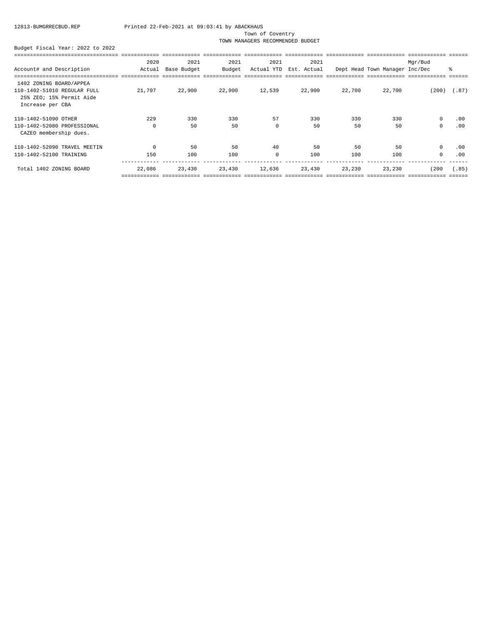Town of Coventry

TOWN MANAGERS RECOMMENDED BUDGET

|                              | 2020        | 2021        | 2021   | 2021        | 2021        |        |                                | Mgr/Bud      |       |
|------------------------------|-------------|-------------|--------|-------------|-------------|--------|--------------------------------|--------------|-------|
| Account# and Description     | Actual      | Base Budget | Budget | Actual YTD  | Est. Actual |        | Dept Head Town Manager Inc/Dec |              | ిక    |
|                              |             |             |        |             |             |        |                                |              |       |
| 1402 ZONING BOARD/APPEA      |             |             |        |             |             |        |                                |              |       |
| 110-1402-51010 REGULAR FULL  | 21,707      | 22,900      | 22,900 | 12,539      | 22,900      | 22,700 | 22,700                         | (200)        | (.87) |
| 25% ZEO; 15% Permit Aide     |             |             |        |             |             |        |                                |              |       |
| Increase per CBA             |             |             |        |             |             |        |                                |              |       |
| 110-1402-51090 OTHER         | 229         | 330         | 330    | 57          | 330         | 330    | 330                            | 0            | .00   |
| 110-1402-52080 PROFESSIONAL  | $\mathbf 0$ | 50          | 50     | $\mathbf 0$ | 50          | 50     | 50                             | 0            | .00   |
| CAZEO membership dues.       |             |             |        |             |             |        |                                |              |       |
| 110-1402-52090 TRAVEL MEETIN | $\Omega$    | 50          | 50     | 40          | 50          | 50     | 50                             | $\mathsf{O}$ | .00   |
| 110-1402-52100 TRAINING      | 150         | 100         | 100    | $\Omega$    | 100         | 100    | 100                            | $\mathbf 0$  | .00   |
| Total 1402 ZONING BOARD      | 22,086      | 23,430      | 23,430 | 12,636      | 23,430      | 23,230 | 23,230                         | (200         | (.85) |
|                              |             |             |        |             |             |        |                                |              |       |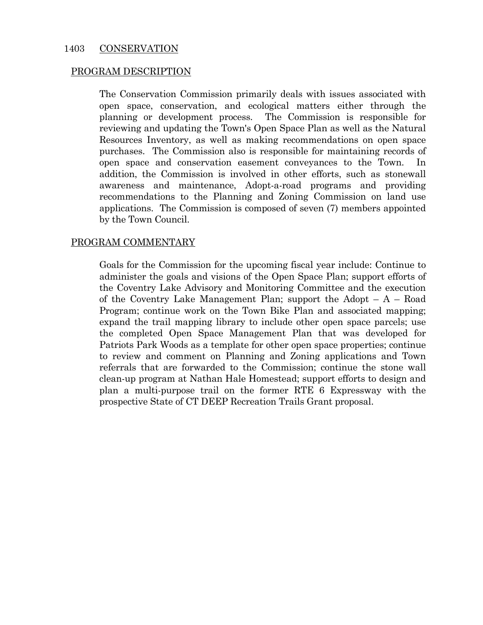The Conservation Commission primarily deals with issues associated with open space, conservation, and ecological matters either through the planning or development process. The Commission is responsible for reviewing and updating the Town's Open Space Plan as well as the Natural Resources Inventory, as well as making recommendations on open space purchases. The Commission also is responsible for maintaining records of open space and conservation easement conveyances to the Town. In addition, the Commission is involved in other efforts, such as stonewall awareness and maintenance, Adopt-a-road programs and providing recommendations to the Planning and Zoning Commission on land use applications. The Commission is composed of seven (7) members appointed by the Town Council.

## PROGRAM COMMENTARY

Goals for the Commission for the upcoming fiscal year include: Continue to administer the goals and visions of the Open Space Plan; support efforts of the Coventry Lake Advisory and Monitoring Committee and the execution of the Coventry Lake Management Plan; support the Adopt  $- A - R$ oad Program; continue work on the Town Bike Plan and associated mapping; expand the trail mapping library to include other open space parcels; use the completed Open Space Management Plan that was developed for Patriots Park Woods as a template for other open space properties; continue to review and comment on Planning and Zoning applications and Town referrals that are forwarded to the Commission; continue the stone wall clean-up program at Nathan Hale Homestead; support efforts to design and plan a multi-purpose trail on the former RTE 6 Expressway with the prospective State of CT DEEP Recreation Trails Grant proposal.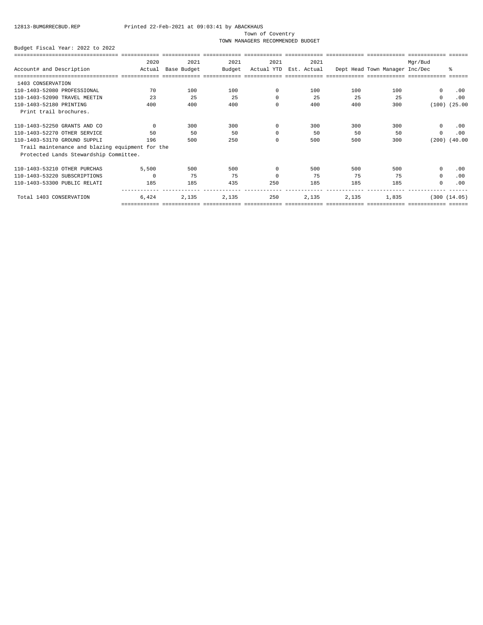### Town of Coventry

TOWN MANAGERS RECOMMENDED BUDGET

|                                                 | 2020     | 2021        | 2021   | 2021     | 2021                   |       |                                | Mgr/Bud     |               |
|-------------------------------------------------|----------|-------------|--------|----------|------------------------|-------|--------------------------------|-------------|---------------|
| Account# and Description                        | Actual   | Base Budget | Budget |          | Actual YTD Est. Actual |       | Dept Head Town Manager Inc/Dec |             | 昙             |
|                                                 |          |             |        |          |                        |       |                                |             |               |
| 1403 CONSERVATION                               |          |             |        |          |                        |       |                                |             |               |
| 110-1403-52080 PROFESSIONAL                     | 70       | 100         | 100    | $\Omega$ | 100                    | 100   | 100                            | $\circ$     | .00           |
| 110-1403-52090 TRAVEL MEETIN                    | 23       | 25          | 25     | 0        | 25                     | 25    | 25                             | 0           | .00           |
| 110-1403-52180 PRINTING                         | 400      | 400         | 400    | $\Omega$ | 400                    | 400   | 300                            | (100)       | (25.00)       |
| Print trail brochures.                          |          |             |        |          |                        |       |                                |             |               |
| 110-1403-52250 GRANTS AND CO                    | $\Omega$ | 300         | 300    | 0        | 300                    | 300   | 300                            | $^{\circ}$  | .00           |
| 110-1403-52270 OTHER SERVICE                    | 50       | 50          | 50     | $\Omega$ | 50                     | 50    | 50                             | $\mathbf 0$ | .00           |
| 110-1403-53170 GROUND SUPPLI                    | 196      | 500         | 250    | $\Omega$ | 500                    | 500   | 300                            | (200)       | (40.00)       |
| Trail maintenance and blazing equipment for the |          |             |        |          |                        |       |                                |             |               |
| Protected Lands Stewardship Committee.          |          |             |        |          |                        |       |                                |             |               |
| 110-1403-53210 OTHER PURCHAS                    | 5,500    | 500         | 500    | $\Omega$ | 500                    | 500   | 500                            | $\circ$     | .00           |
| 110-1403-53220 SUBSCRIPTIONS                    | $\Omega$ | 75          | 75     | $\Omega$ | 75                     | 75    | 75                             | $\circ$     | .00           |
| 110-1403-53300 PUBLIC RELATI                    | 185      | 185         | 435    | 250      | 185                    | 185   | 185                            | $\Omega$    | .00           |
| Total 1403 CONSERVATION                         | 6,424    | 2,135       | 2,135  | 250      | 2,135                  | 2,135 | 1,835                          |             | (300 (14.05)) |
|                                                 |          |             |        |          |                        |       |                                |             |               |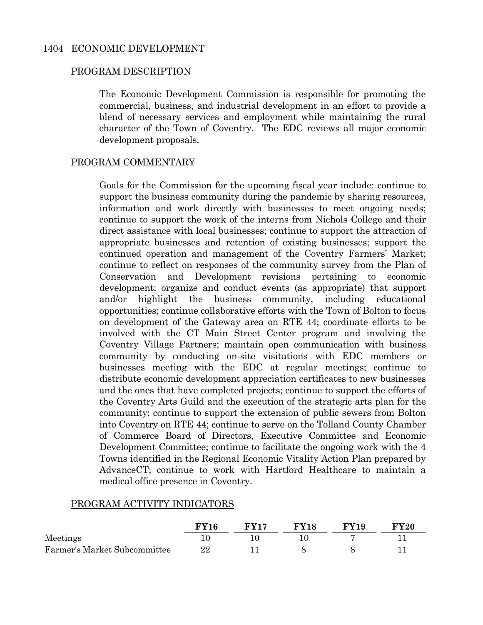The Economic Development Commission is responsible for promoting the commercial, business, and industrial development in an effort to provide a blend of necessary services and employment while maintaining the rural character of the Town of Coventry. The EDC reviews all major economic development proposals.

## PROGRAM COMMENTARY

Goals for the Commission for the upcoming fiscal year include: continue to support the business community during the pandemic by sharing resources, information and work directly with businesses to meet ongoing needs; continue to support the work of the interns from Nichols College and their direct assistance with local businesses; continue to support the attraction of appropriate businesses and retention of existing businesses; support the continued operation and management of the Coventry Farmers' Market; continue to reflect on responses of the community survey from the Plan of Conservation and Development revisions pertaining to economic development; organize and conduct events (as appropriate) that support and/or highlight the business community, including educational opportunities; continue collaborative efforts with the Town of Bolton to focus on development of the Gateway area on RTE 44; coordinate efforts to be involved with the CT Main Street Center program and involving the Coventry Village Partners; maintain open communication with business community by conducting on-site visitations with EDC members or businesses meeting with the EDC at regular meetings; continue to distribute economic development appreciation certificates to new businesses and the ones that have completed projects; continue to support the efforts of the Coventry Arts Guild and the execution of the strategic arts plan for the community; continue to support the extension of public sewers from Bolton into Coventry on RTE 44; continue to serve on the Tolland County Chamber of Commerce Board of Directors, Executive Committee and Economic Development Committee; continue to facilitate the ongoing work with the 4 Towns identified in the Regional Economic Vitality Action Plan prepared by AdvanceCT; continue to work with Hartford Healthcare to maintain a medical office presence in Coventry.

## PROGRAM ACTIVITY INDICATORS

|                              | $\bf FVI6$ | <b>FV17</b> | <b>FY18</b> | <b>FY19</b> | <b>FY20</b> |
|------------------------------|------------|-------------|-------------|-------------|-------------|
| Meetings                     |            |             |             |             |             |
| Farmer's Market Subcommittee | 22         |             |             |             |             |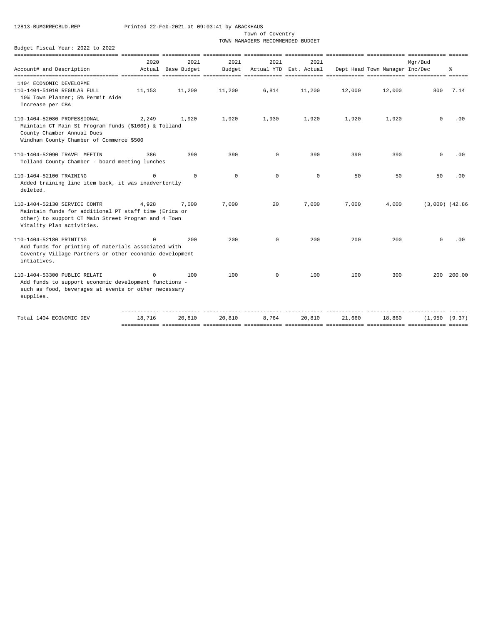Town of Coventry

TOWN MANAGERS RECOMMENDED BUDGET

| ristai Ital 2022                                                                                                                                                          |          |                    |            |             |                        |        |                                |                     |        |
|---------------------------------------------------------------------------------------------------------------------------------------------------------------------------|----------|--------------------|------------|-------------|------------------------|--------|--------------------------------|---------------------|--------|
|                                                                                                                                                                           |          |                    |            |             |                        |        |                                |                     |        |
|                                                                                                                                                                           | 2020     | 2021               | 2021       | 2021        | 2021                   |        |                                | Mqr/Bud             |        |
| Account# and Description                                                                                                                                                  |          | Actual Base Budget | Budget     |             | Actual YTD Est. Actual |        | Dept Head Town Manager Inc/Dec |                     | ి      |
|                                                                                                                                                                           |          |                    |            |             |                        |        |                                |                     |        |
| 1404 ECONOMIC DEVELOPME                                                                                                                                                   |          |                    |            |             |                        |        |                                |                     |        |
| 110-1404-51010 REGULAR FULL<br>10% Town Planner; 5% Permit Aide<br>Increase per CBA                                                                                       | 11,153   | 11,200             | 11,200     | 6,814       | 11,200                 | 12,000 | 12,000                         | 800                 | 7.14   |
| 110-1404-52080 PROFESSIONAL<br>Maintain CT Main St Program funds (\$1000) & Tolland<br>County Chamber Annual Dues<br>Windham County Chamber of Commerce \$500             | 2,249    | 1,920              | 1,920      | 1,930       | 1,920                  | 1,920  | 1,920                          | $\Omega$            | .00    |
| 110-1404-52090 TRAVEL MEETIN<br>Tolland County Chamber - board meeting lunches                                                                                            | 386      | 390                | 390        | $\mathbf 0$ | 390                    | 390    | 390                            | $\mathbf 0$         | .00    |
| 110-1404-52100 TRAINING<br>Added training line item back, it was inadvertently<br>deleted.                                                                                | $\Omega$ | $\Omega$           | $^{\circ}$ | $\Omega$    | $^{\circ}$             | 50     | 50                             | 50                  | .00    |
| 110-1404-52130 SERVICE CONTR<br>Maintain funds for additional PT staff time (Erica or<br>other) to support CT Main Street Program and 4 Town<br>Vitality Plan activities. | 4,928    | 7,000              | 7,000      | 20          | 7,000                  | 7,000  | 4,000                          | $(3,000)$ $(42.86)$ |        |
| 110-1404-52180 PRINTING<br>Add funds for printing of materials associated with<br>Coventry Village Partners or other economic development<br>intiatives.                  | $\Omega$ | 200                | 200        | $^{\circ}$  | 200                    | 200    | 200                            | $^{\circ}$          | .00    |
| 110-1404-53300 PUBLIC RELATI<br>Add funds to support economic development functions -<br>such as food, beverages at events or other necessary<br>supplies.                | $\Omega$ | 100                | 100        | $^{\circ}$  | 100                    | 100    | 300                            | 200                 | 200.00 |
| Total 1404 ECONOMIC DEV                                                                                                                                                   | 18,716   | 20,810             | 20,810     | 8,764       | 20,810                 | 21,660 | 18,860                         | (1,950 (9.37))      |        |
|                                                                                                                                                                           |          |                    |            |             |                        |        |                                |                     |        |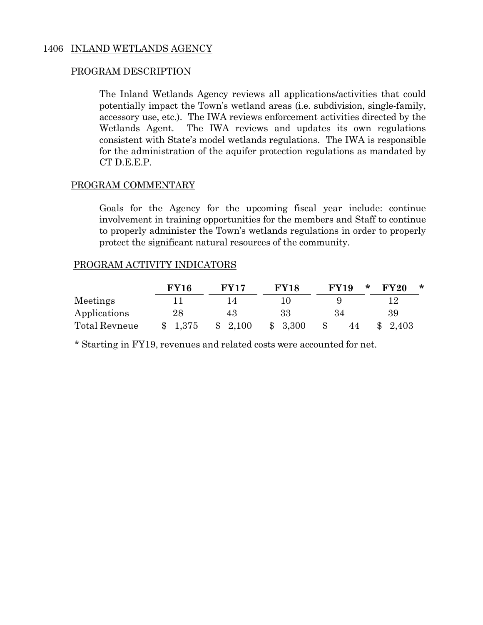The Inland Wetlands Agency reviews all applications/activities that could potentially impact the Town's wetland areas (i.e. subdivision, single-family, accessory use, etc.). The IWA reviews enforcement activities directed by the Wetlands Agent. The IWA reviews and updates its own regulations consistent with State's model wetlands regulations. The IWA is responsible for the administration of the aquifer protection regulations as mandated by CT D.E.E.P.

## PROGRAM COMMENTARY

Goals for the Agency for the upcoming fiscal year include: continue involvement in training opportunities for the members and Staff to continue to properly administer the Town's wetlands regulations in order to properly protect the significant natural resources of the community.

## PROGRAM ACTIVITY INDICATORS

|               | <b>FY16</b> | $\bf FVI7$           | <b>FY18</b>             | <b>FY19</b> | $\ast$<br><b>FY20</b><br>∗ |
|---------------|-------------|----------------------|-------------------------|-------------|----------------------------|
| Meetings      |             | $\Delta$             |                         |             | י ו                        |
| Applications  | $28\,$      | 43                   | 33                      | 34          | 39                         |
| Total Revneue | \$1,375     | 2,100<br>$\mathbb S$ | 3,300<br>$\mathbb{S}^-$ | 44          | 2,403                      |

\* Starting in FY19, revenues and related costs were accounted for net.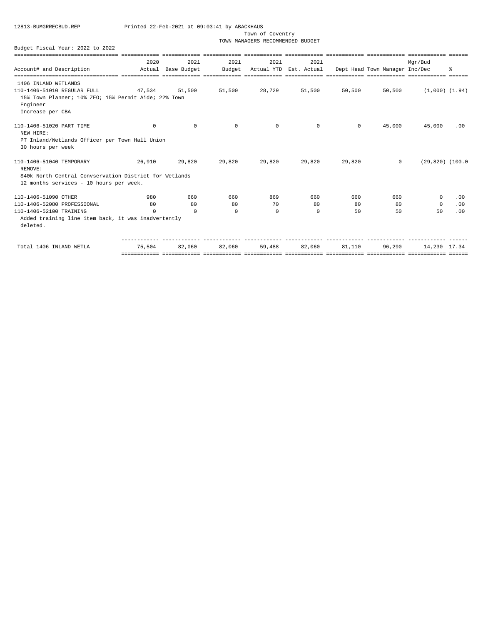Town of Coventry

TOWN MANAGERS RECOMMENDED BUDGET

|                                                                 |          |             | ============ |          |                        |          |                                |                     |     |
|-----------------------------------------------------------------|----------|-------------|--------------|----------|------------------------|----------|--------------------------------|---------------------|-----|
|                                                                 | 2020     | 2021        | 2021         | 2021     | 2021                   |          |                                | Mgr/Bud             |     |
| Account# and Description                                        | Actual   | Base Budget | Budget       |          | Actual YTD Est. Actual |          | Dept Head Town Manager Inc/Dec |                     | 昙   |
|                                                                 |          |             |              |          |                        |          |                                |                     |     |
| 1406 INLAND WETLANDS                                            |          |             |              |          |                        |          |                                |                     |     |
| 110-1406-51010 REGULAR FULL                                     | 47,534   | 51,500      | 51,500       | 28.729   | 51,500                 | 50,500   | 50,500                         | $(1,000)$ $(1.94)$  |     |
| 15% Town Planner; 10% ZEO; 15% Permit Aide; 22% Town            |          |             |              |          |                        |          |                                |                     |     |
| Engineer                                                        |          |             |              |          |                        |          |                                |                     |     |
| Increase per CBA                                                |          |             |              |          |                        |          |                                |                     |     |
| 110-1406-51020 PART TIME                                        | $\Omega$ | $\Omega$    | $\Omega$     | $\Omega$ | $\Omega$               | $\Omega$ | 45,000                         | 45,000              | .00 |
| NEW HIRE:                                                       |          |             |              |          |                        |          |                                |                     |     |
| PT Inland/Wetlands Officer per Town Hall Union                  |          |             |              |          |                        |          |                                |                     |     |
| 30 hours per week                                               |          |             |              |          |                        |          |                                |                     |     |
| 110-1406-51040 TEMPORARY<br>REMOVE:                             | 26,910   | 29,820      | 29,820       | 29,820   | 29,820                 | 29,820   | $\Omega$                       | $(29,820)$ $(100.0$ |     |
| \$40k North Central Convservation District for Wetlands         |          |             |              |          |                        |          |                                |                     |     |
| 12 months services - 10 hours per week.                         |          |             |              |          |                        |          |                                |                     |     |
| 110-1406-51090 OTHER                                            | 980      | 660         | 660          | 869      | 660                    | 660      | 660                            | $\Omega$            | .00 |
| 110-1406-52080 PROFESSIONAL                                     | 80       | 80          | 80           | 70       | 80                     | 80       | 80                             | $\Omega$            | .00 |
| 110-1406-52100 TRAINING                                         | $\Omega$ | $\Omega$    | $\Omega$     | $\Omega$ | $\Omega$               | 50       | 50                             | 50                  | .00 |
| Added training line item back, it was inadvertently<br>deleted. |          |             |              |          |                        |          |                                |                     |     |
|                                                                 |          |             |              |          |                        |          |                                |                     |     |
| Total 1406 INLAND WETLA                                         | 75,504   | 82,060      | 82,060       | 59,488   | 82,060                 | 81,110   | 96,290                         | 14,230 17.34        |     |
|                                                                 |          |             |              |          |                        |          |                                |                     |     |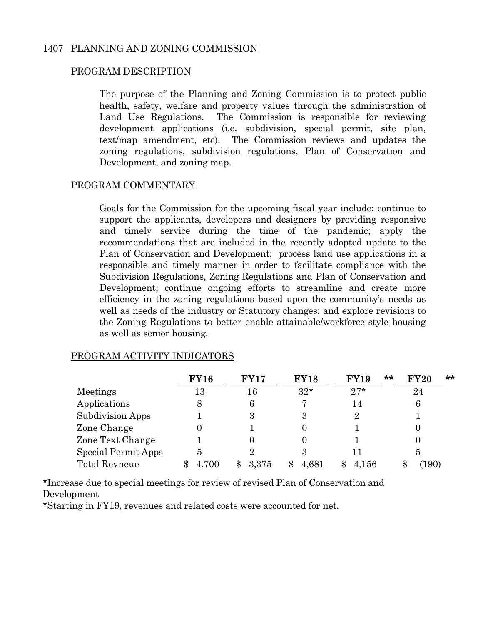## 1407 PLANNING AND ZONING COMMISSION

## PROGRAM DESCRIPTION

The purpose of the Planning and Zoning Commission is to protect public health, safety, welfare and property values through the administration of Land Use Regulations. The Commission is responsible for reviewing development applications (i.e. subdivision, special permit, site plan, text/map amendment, etc). The Commission reviews and updates the zoning regulations, subdivision regulations, Plan of Conservation and Development, and zoning map.

## PROGRAM COMMENTARY

Goals for the Commission for the upcoming fiscal year include: continue to support the applicants, developers and designers by providing responsive and timely service during the time of the pandemic; apply the recommendations that are included in the recently adopted update to the Plan of Conservation and Development; process land use applications in a responsible and timely manner in order to facilitate compliance with the Subdivision Regulations, Zoning Regulations and Plan of Conservation and Development; continue ongoing efforts to streamline and create more efficiency in the zoning regulations based upon the community's needs as well as needs of the industry or Statutory changes; and explore revisions to the Zoning Regulations to better enable attainable/workforce style housing as well as senior housing.

|                      | <b>FY16</b> | <b>FY17</b> | <b>FY18</b> | <b>FY19</b> | $**$<br>**<br><b>FY20</b> |  |
|----------------------|-------------|-------------|-------------|-------------|---------------------------|--|
| Meetings             | 13          | 16          | $32*$       | $27*$       | 24                        |  |
| Applications         | 8           | 6           | 7           | 14          | 6                         |  |
| Subdivision Apps     |             | 3           | 3           | 2           |                           |  |
| Zone Change          |             |             |             |             |                           |  |
| Zone Text Change     |             |             |             |             |                           |  |
| Special Permit Apps  | 5           | 2           | З           |             | 5                         |  |
| <b>Total Revneue</b> | .700        | 3.375       | 4,681       | 4,156       | $\left(190\right)$        |  |

## PROGRAM ACTIVITY INDICATORS

\*Increase due to special meetings for review of revised Plan of Conservation and Development

\*Starting in FY19, revenues and related costs were accounted for net.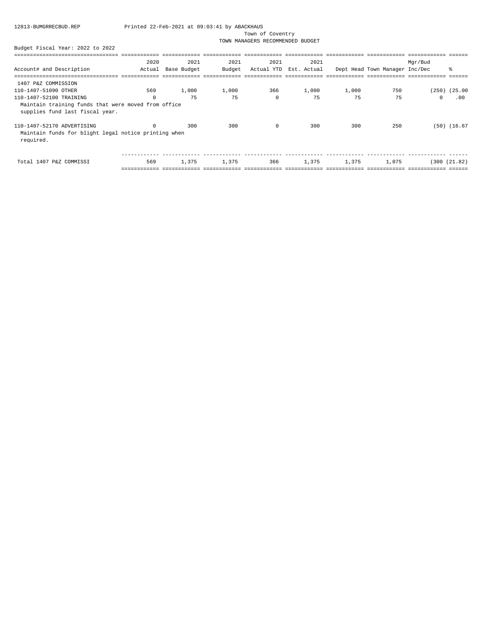Town of Coventry

TOWN MANAGERS RECOMMENDED BUDGET

|                                                                                                 | 2020     | 2021        | 2021   | 2021       | 2021        |       |                                | Mgr/Bud  |                  |
|-------------------------------------------------------------------------------------------------|----------|-------------|--------|------------|-------------|-------|--------------------------------|----------|------------------|
| Account# and Description                                                                        | Actual   | Base Budget | Budget | Actual YTD | Est. Actual |       | Dept Head Town Manager Inc/Dec |          | $\approx$        |
|                                                                                                 |          |             |        |            |             |       |                                |          |                  |
| 1407 P&Z COMMISSION                                                                             |          |             |        |            |             |       |                                |          |                  |
| 110-1407-51090 OTHER                                                                            | 569      | 1,000       | 1,000  | 366        | 1,000       | 1,000 | 750                            |          | (250) (25.00     |
| 110-1407-52100 TRAINING                                                                         | $\Omega$ | 75          | 75     | $\Omega$   | 75          | 75    | 75                             | $\Omega$ | .00              |
| Maintain training funds that were moved from office<br>supplies fund last fiscal year.          |          |             |        |            |             |       |                                |          |                  |
| 110-1407-52170 ADVERTISING<br>Maintain funds for blight legal notice printing when<br>required. | $\Omega$ | 300         | 300    | $\circ$    | 300         | 300   | 250                            |          | $(50)$ $(16.67)$ |
| Total 1407 P&Z COMMISSI                                                                         | 569      | 1,375       | 1,375  | 366        | 1,375       | 1,375 | 1,075                          |          | (300 (21.82))    |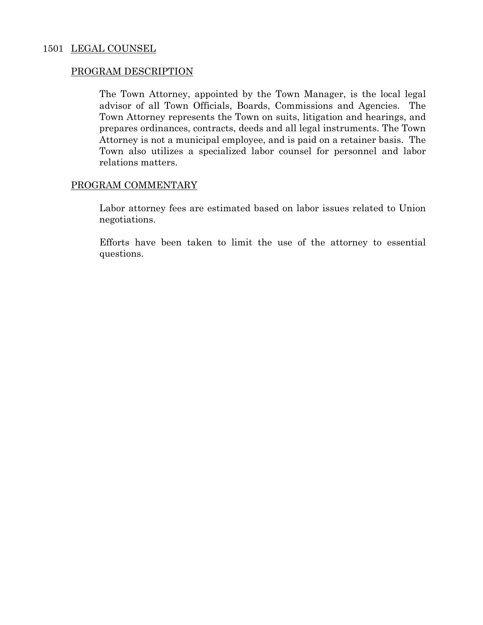## 1501 LEGAL COUNSEL

## PROGRAM DESCRIPTION

 The Town Attorney, appointed by the Town Manager, is the local legal advisor of all Town Officials, Boards, Commissions and Agencies. The Town Attorney represents the Town on suits, litigation and hearings, and prepares ordinances, contracts, deeds and all legal instruments. The Town Attorney is not a municipal employee, and is paid on a retainer basis. The Town also utilizes a specialized labor counsel for personnel and labor relations matters.

## PROGRAM COMMENTARY

 Labor attorney fees are estimated based on labor issues related to Union negotiations.

 Efforts have been taken to limit the use of the attorney to essential questions.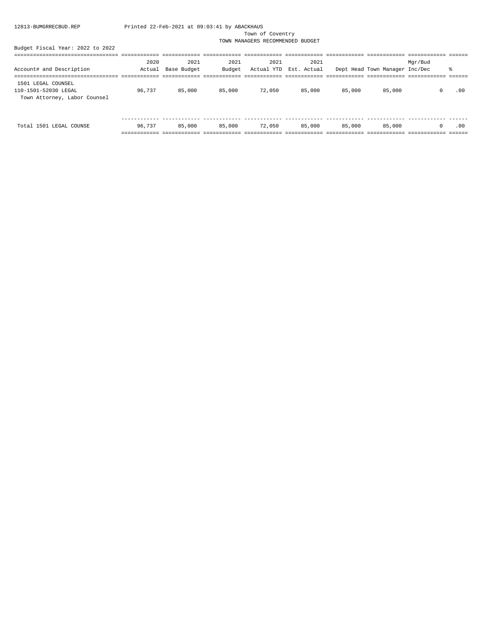Town of Coventry

TOWN MANAGERS RECOMMENDED BUDGET

|                                                                            | 2020   | 2021        | 2021   | 2021   | 2021                   |        |                                | Mgr/Bud |     |
|----------------------------------------------------------------------------|--------|-------------|--------|--------|------------------------|--------|--------------------------------|---------|-----|
| Account# and Description                                                   | Actual | Base Budget | Budget |        | Actual YTD Est. Actual |        | Dept Head Town Manager Inc/Dec |         |     |
|                                                                            |        |             |        |        |                        |        |                                |         |     |
| 1501 LEGAL COUNSEL<br>110-1501-52030 LEGAL<br>Town Attorney, Labor Counsel | 96.737 | 85,000      | 85,000 | 72,050 | 85,000                 | 85,000 | 85,000                         |         | .00 |

|                                                                              | ___         |           |        |        |      |        |        |     |
|------------------------------------------------------------------------------|-------------|-----------|--------|--------|------|--------|--------|-----|
| Total<br>$T T C \Lambda$<br>$\sim$ $\sim$ $\sim$ $\sim$ $\sim$ $\sim$<br>50. | . 73'<br>96 | яĸ<br>იიი | 85,000 | 72.050 | ,000 | 85,000 | 85,000 | .00 |
|                                                                              |             |           |        |        |      |        |        |     |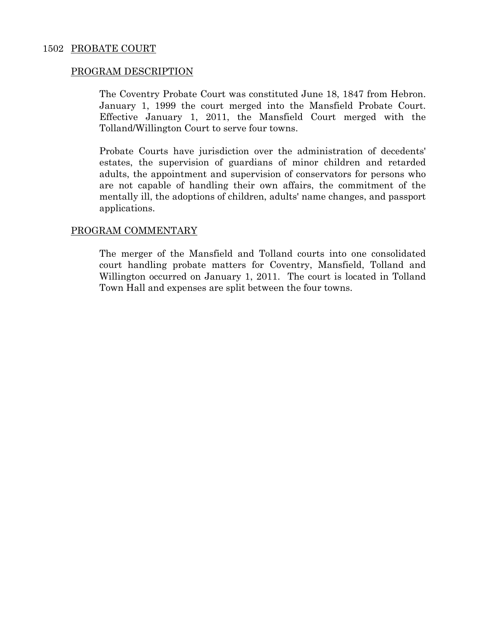The Coventry Probate Court was constituted June 18, 1847 from Hebron. January 1, 1999 the court merged into the Mansfield Probate Court. Effective January 1, 2011, the Mansfield Court merged with the Tolland/Willington Court to serve four towns.

 Probate Courts have jurisdiction over the administration of decedents' estates, the supervision of guardians of minor children and retarded adults, the appointment and supervision of conservators for persons who are not capable of handling their own affairs, the commitment of the mentally ill, the adoptions of children, adults' name changes, and passport applications.

## PROGRAM COMMENTARY

 The merger of the Mansfield and Tolland courts into one consolidated court handling probate matters for Coventry, Mansfield, Tolland and Willington occurred on January 1, 2011. The court is located in Tolland Town Hall and expenses are split between the four towns.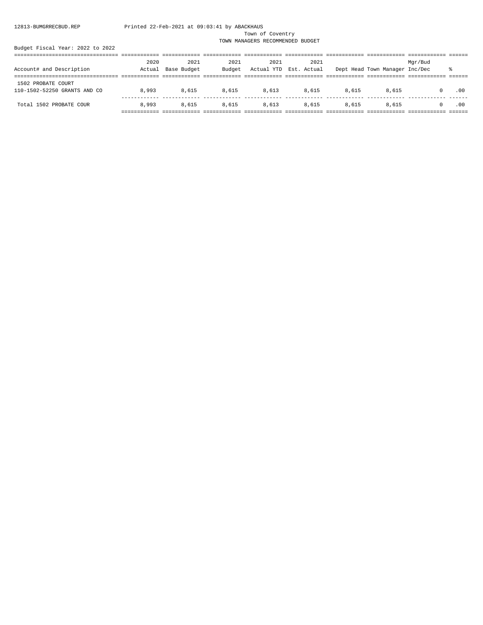Town of Coventry

TOWN MANAGERS RECOMMENDED BUDGET

| 2020   | 2021  | 2021  | 2021        | 2021        |            |       | Mgr/Bud |                                |
|--------|-------|-------|-------------|-------------|------------|-------|---------|--------------------------------|
| Actual |       |       |             | Est. Actual |            |       |         |                                |
|        |       |       |             |             |            |       |         |                                |
| 8,993  | 8,615 | 8,615 | 8,613       | 8,615       | 8,615      | 8,615 |         | .00                            |
| 8,993  | 8,615 | 8,615 | 8,613       | 8,615       | 8,615      | 8,615 |         | .00                            |
|        |       |       | Base Budget | Budget      | Actual YTD |       |         | Dept Head Town Manager Inc/Dec |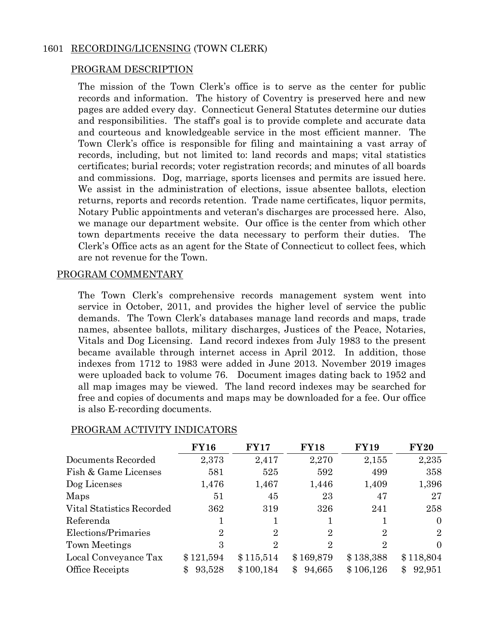## 1601 RECORDING/LICENSING (TOWN CLERK)

## PROGRAM DESCRIPTION

 The mission of the Town Clerk's office is to serve as the center for public records and information. The history of Coventry is preserved here and new pages are added every day. Connecticut General Statutes determine our duties and responsibilities. The staff's goal is to provide complete and accurate data and courteous and knowledgeable service in the most efficient manner. The Town Clerk's office is responsible for filing and maintaining a vast array of records, including, but not limited to: land records and maps; vital statistics certificates; burial records; voter registration records; and minutes of all boards and commissions. Dog, marriage, sports licenses and permits are issued here. We assist in the administration of elections, issue absentee ballots, election returns, reports and records retention. Trade name certificates, liquor permits, Notary Public appointments and veteran's discharges are processed here. Also, we manage our department website. Our office is the center from which other town departments receive the data necessary to perform their duties. The Clerk's Office acts as an agent for the State of Connecticut to collect fees, which are not revenue for the Town.

## PROGRAM COMMENTARY

 The Town Clerk's comprehensive records management system went into service in October, 2011, and provides the higher level of service the public demands. The Town Clerk's databases manage land records and maps, trade names, absentee ballots, military discharges, Justices of the Peace, Notaries, Vitals and Dog Licensing. Land record indexes from July 1983 to the present became available through internet access in April 2012. In addition, those indexes from 1712 to 1983 were added in June 2013. November 2019 images were uploaded back to volume 76. Document images dating back to 1952 and all map images may be viewed. The land record indexes may be searched for free and copies of documents and maps may be downloaded for a fee. Our office is also E-recording documents.

|                           | <b>FY16</b>    | <b>FY17</b>    | <b>FY18</b>    | <b>FY19</b>    | <b>FY20</b>    |
|---------------------------|----------------|----------------|----------------|----------------|----------------|
| Documents Recorded        | 2,373          | 2,417          | 2,270          | 2,155          | 2,235          |
| Fish & Game Licenses      | 581            | 525            | 592            | 499            | 358            |
| Dog Licenses              | 1,476          | 1,467          | 1,446          | 1,409          | 1,396          |
| Maps                      | 51             | 45             | 23             | 47             | 27             |
| Vital Statistics Recorded | 362            | 319            | 326            | 241            | 258            |
| Referenda                 |                |                |                |                | $\Omega$       |
| Elections/Primaries       | $\overline{2}$ | $\overline{2}$ | $\overline{2}$ | $\overline{2}$ | $\overline{2}$ |
| Town Meetings             | 3              | $\overline{2}$ | $\overline{2}$ | $\overline{2}$ | 0              |
| Local Conveyance Tax      | \$121,594      | \$115,514      | \$169,879      | \$138,388      | \$118,804      |
| Office Receipts           | 93,528<br>\$   | \$100,184      | 94,665<br>\$   | \$106,126      | 92,951<br>\$   |

## PROGRAM ACTIVITY INDICATORS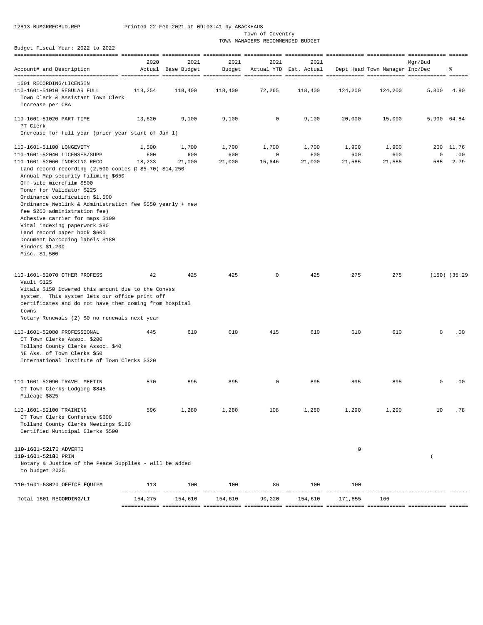Town of Coventry

TOWN MANAGERS RECOMMENDED BUDGET

|                                                           | 2020    | 2021               | 2021    | 2021   | 2021                   |             |                                | Mar/Bud     |                   |
|-----------------------------------------------------------|---------|--------------------|---------|--------|------------------------|-------------|--------------------------------|-------------|-------------------|
| Account# and Description                                  |         | Actual Base Budget | Budget  |        | Actual YTD Est. Actual |             | Dept Head Town Manager Inc/Dec |             | 욲                 |
| 1601 RECORDING/LICENSIN                                   |         |                    |         |        |                        |             |                                |             |                   |
| 110-1601-51010 REGULAR FULL                               | 118,254 | 118,400            | 118,400 | 72,265 | 118,400                | 124,200     | 124,200                        | 5,800       | 4.90              |
| Town Clerk & Assistant Town Clerk                         |         |                    |         |        |                        |             |                                |             |                   |
| Increase per CBA                                          |         |                    |         |        |                        |             |                                |             |                   |
| 110-1601-51020 PART TIME                                  | 13,620  | 9,100              | 9,100   | 0      | 9,100                  | 20,000      | 15,000                         | 5,900 64.84 |                   |
| PT Clerk                                                  |         |                    |         |        |                        |             |                                |             |                   |
| Increase for full year (prior year start of Jan 1)        |         |                    |         |        |                        |             |                                |             |                   |
| 110-1601-51100 LONGEVITY                                  | 1,500   | 1,700              | 1,700   | 1,700  | 1,700                  | 1,900       | 1,900                          |             | 200 11.76         |
| 110-1601-52040 LICENSES/SUPP                              | 600     | 600                | 600     | 0      | 600                    | 600         | 600                            | 0           | .00               |
| 110-1601-52060 INDEXING RECO                              | 18,233  | 21,000             | 21,000  | 15,646 | 21,000                 | 21,585      | 21,585                         | 585         | 2.79              |
| Land record recording $(2,500$ copies @ \$5.70) \$14,250  |         |                    |         |        |                        |             |                                |             |                   |
| Annual Map security filiming \$650                        |         |                    |         |        |                        |             |                                |             |                   |
| Off-site microfilm \$500                                  |         |                    |         |        |                        |             |                                |             |                   |
| Toner for Validator \$225                                 |         |                    |         |        |                        |             |                                |             |                   |
| Ordinance codification \$1,500                            |         |                    |         |        |                        |             |                                |             |                   |
| Ordinance Weblink & Administration fee \$550 yearly + new |         |                    |         |        |                        |             |                                |             |                   |
| fee \$250 administration fee)                             |         |                    |         |        |                        |             |                                |             |                   |
| Adhesive carrier for maps \$100                           |         |                    |         |        |                        |             |                                |             |                   |
| Vital indexing paperwork \$80                             |         |                    |         |        |                        |             |                                |             |                   |
| Land record paper book \$600                              |         |                    |         |        |                        |             |                                |             |                   |
| Document barcoding labels \$180                           |         |                    |         |        |                        |             |                                |             |                   |
| Binders \$1,200                                           |         |                    |         |        |                        |             |                                |             |                   |
| Misc. \$1,500                                             |         |                    |         |        |                        |             |                                |             |                   |
|                                                           |         |                    |         |        |                        |             |                                |             |                   |
| 110-1601-52070 OTHER PROFESS                              | 42      | 425                | 425     | 0      | 425                    | 275         | 275                            |             | $(150)$ $(35.29)$ |
| Vault \$125                                               |         |                    |         |        |                        |             |                                |             |                   |
| Vitals \$150 lowered this amount due to the Convss        |         |                    |         |        |                        |             |                                |             |                   |
| system. This system lets our office print off             |         |                    |         |        |                        |             |                                |             |                   |
| certificates and do not have them coming from hospital    |         |                    |         |        |                        |             |                                |             |                   |
| towns                                                     |         |                    |         |        |                        |             |                                |             |                   |
| Notary Renewals (2) \$0 no renewals next year             |         |                    |         |        |                        |             |                                |             |                   |
| 110-1601-52080 PROFESSIONAL                               | 445     | 610                | 610     | 415    | 610                    | 610         | 610                            | $\mathbf 0$ | .00               |
| CT Town Clerks Assoc. \$200                               |         |                    |         |        |                        |             |                                |             |                   |
| Tolland County Clerks Assoc. \$40                         |         |                    |         |        |                        |             |                                |             |                   |
|                                                           |         |                    |         |        |                        |             |                                |             |                   |
| NE Ass. of Town Clerks \$50                               |         |                    |         |        |                        |             |                                |             |                   |
| International Institute of Town Clerks \$320              |         |                    |         |        |                        |             |                                |             |                   |
| 110-1601-52090 TRAVEL MEETIN                              | 570     | 895                | 895     | 0      | 895                    | 895         | 895                            | $\mathbf 0$ | .00               |
| CT Town Clerks Lodging \$845                              |         |                    |         |        |                        |             |                                |             |                   |
|                                                           |         |                    |         |        |                        |             |                                |             |                   |
| Mileage \$825                                             |         |                    |         |        |                        |             |                                |             |                   |
| 110-1601-52100 TRAINING                                   | 596     | 1,280              | 1,280   | 108    | 1,280                  | 1,290       | 1,290                          | 10          | .78               |
| CT Town Clerks Conferece \$600                            |         |                    |         |        |                        |             |                                |             |                   |
| Tolland County Clerks Meetings \$180                      |         |                    |         |        |                        |             |                                |             |                   |
| Certified Municipal Clerks \$500                          |         |                    |         |        |                        |             |                                |             |                   |
|                                                           |         |                    |         |        |                        |             |                                |             |                   |
| 110-1601-52170 ADVERTI                                    |         |                    |         |        |                        | $\mathsf 0$ |                                |             |                   |
| 110-1601-52180 PRIN                                       |         |                    |         |        |                        |             |                                | $\left($    |                   |
| Notary & Justice of the Peace Supplies - will be added    |         |                    |         |        |                        |             |                                |             |                   |
| to budget 2025                                            |         |                    |         |        |                        |             |                                |             |                   |
| 110-1601-53020 OFFICE EQUIPM                              | 113     | 100                | 100     | 86     | 100                    | 100         |                                |             |                   |
|                                                           |         |                    |         |        |                        |             |                                |             |                   |
| Total 1601 RECORDING/LI                                   | 154,275 | 154,610            | 154,610 | 90,220 | 154,610                | 171,855     | 166                            |             |                   |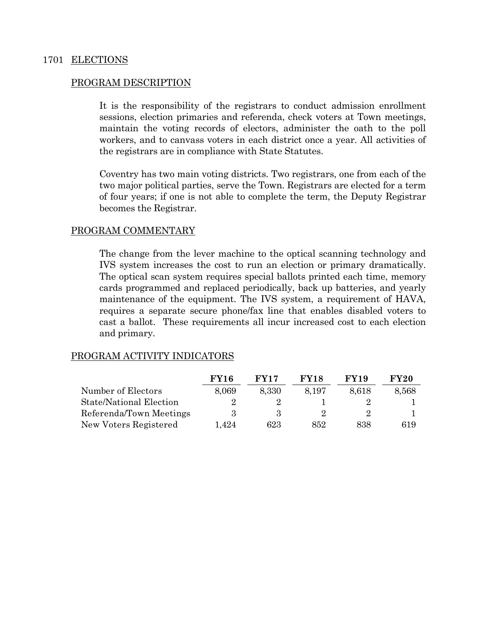## 1701 ELECTIONS

## PROGRAM DESCRIPTION

It is the responsibility of the registrars to conduct admission enrollment sessions, election primaries and referenda, check voters at Town meetings, maintain the voting records of electors, administer the oath to the poll workers, and to canvass voters in each district once a year. All activities of the registrars are in compliance with State Statutes.

Coventry has two main voting districts. Two registrars, one from each of the two major political parties, serve the Town. Registrars are elected for a term of four years; if one is not able to complete the term, the Deputy Registrar becomes the Registrar.

## PROGRAM COMMENTARY

The change from the lever machine to the optical scanning technology and IVS system increases the cost to run an election or primary dramatically. The optical scan system requires special ballots printed each time, memory cards programmed and replaced periodically, back up batteries, and yearly maintenance of the equipment. The IVS system, a requirement of HAVA, requires a separate secure phone/fax line that enables disabled voters to cast a ballot. These requirements all incur increased cost to each election and primary.

|                                | <b>FY16</b> | <b>FY17</b> | <b>FY18</b> | <b>FY19</b> | <b>FY20</b> |
|--------------------------------|-------------|-------------|-------------|-------------|-------------|
| Number of Electors             | 8,069       | 8,330       | 8.197       | 8.618       | 8,568       |
| <b>State/National Election</b> |             |             |             |             |             |
| Referenda/Town Meetings        | з           | З           |             | 9.          |             |
| New Voters Registered          | 1.424       | 623         | 852         | 838         | 619         |

## PROGRAM ACTIVITY INDICATORS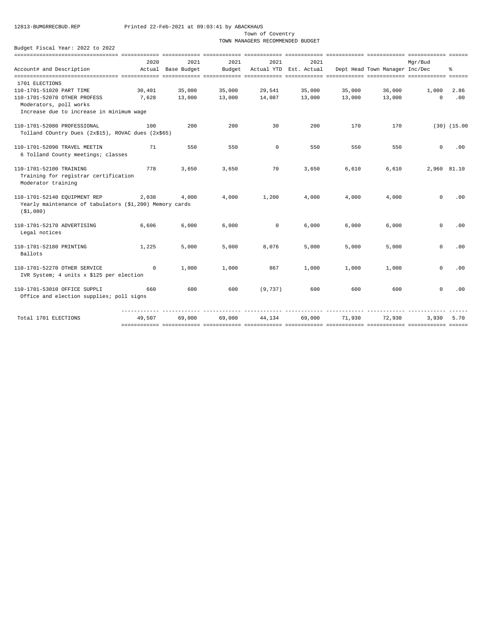Town of Coventry

TOWN MANAGERS RECOMMENDED BUDGET

|                                                         | 2020       | 2021               | 2021   | 2021     | 2021                   |        |                                | Mar/Bud     |                  |
|---------------------------------------------------------|------------|--------------------|--------|----------|------------------------|--------|--------------------------------|-------------|------------------|
| Account# and Description                                |            | Actual Base Budget | Budget |          | Actual YTD Est. Actual |        | Dept Head Town Manager Inc/Dec |             | ి                |
|                                                         |            |                    |        |          |                        |        |                                |             |                  |
| 1701 ELECTIONS                                          |            |                    |        |          |                        |        |                                |             |                  |
| 110-1701-51020 PART TIME                                | 30,401     | 35,000             | 35,000 | 29,541   | 35,000                 | 35,000 | 36,000                         | 1,000       | 2.86             |
| 110-1701-52070 OTHER PROFESS                            | 7,628      | 13,000             | 13,000 | 14,087   | 13,000                 | 13,000 | 13,000                         | $\Omega$    | .00              |
| Moderators, poll works                                  |            |                    |        |          |                        |        |                                |             |                  |
| Increase due to increase in minimum wage                |            |                    |        |          |                        |        |                                |             |                  |
| 110-1701-52080 PROFESSIONAL                             | 100        | 200                | 200    | 30       | 200                    | 170    | 170                            |             | $(30)$ $(15.00)$ |
| Tolland COuntry Dues (2x\$15), ROVAC dues (2x\$65)      |            |                    |        |          |                        |        |                                |             |                  |
|                                                         |            |                    |        |          |                        |        |                                |             |                  |
| 110-1701-52090 TRAVEL MEETIN                            | 71         | 550                | 550    | $\circ$  | 550                    | 550    | 550                            | $\Omega$    | .00              |
| 6 Tolland County meetings; classes                      |            |                    |        |          |                        |        |                                |             |                  |
|                                                         |            |                    |        |          |                        |        |                                |             |                  |
| 110-1701-52100 TRAINING                                 | 778        | 3,650              | 3,650  | 70       | 3,650                  | 6,610  | 6,610                          | 2,960 81.10 |                  |
| Training for registrar certification                    |            |                    |        |          |                        |        |                                |             |                  |
| Moderator training                                      |            |                    |        |          |                        |        |                                |             |                  |
|                                                         |            |                    |        |          |                        |        |                                |             |                  |
| 110-1701-52140 EQUIPMENT REP                            | 2,038      | 4,000              | 4,000  | 1,200    | 4,000                  | 4,000  | 4,000                          | $\Omega$    | .00              |
| Yearly maintenance of tabulators (\$1,200) Memory cards |            |                    |        |          |                        |        |                                |             |                  |
| ( \$1,080)                                              |            |                    |        |          |                        |        |                                |             |                  |
| 110-1701-52170 ADVERTISING                              | 6,606      | 6,000              | 6,000  | 0        | 6,000                  | 6,000  | 6,000                          | $\mathbf 0$ | .00              |
| Legal notices                                           |            |                    |        |          |                        |        |                                |             |                  |
|                                                         |            |                    |        |          |                        |        |                                |             |                  |
| 110-1701-52180 PRINTING                                 | 1,225      | 5,000              | 5,000  | 8,076    | 5,000                  | 5,000  | 5,000                          | $\Omega$    | .00              |
| Ballots                                                 |            |                    |        |          |                        |        |                                |             |                  |
|                                                         |            |                    |        |          |                        |        |                                |             |                  |
| 110-1701-52270 OTHER SERVICE                            | $^{\circ}$ | 1,000              | 1,000  | 867      | 1,000                  | 1,000  | 1,000                          | $\mathbf 0$ | .00              |
| IVR System; 4 units x \$125 per election                |            |                    |        |          |                        |        |                                |             |                  |
|                                                         |            |                    |        |          |                        |        |                                |             |                  |
| 110-1701-53010 OFFICE SUPPLI                            | 660        | 600                | 600    | (9, 737) | 600                    | 600    | 600                            | $\mathbf 0$ | .00              |
| Office and election supplies; poll signs                |            |                    |        |          |                        |        |                                |             |                  |
|                                                         |            |                    |        |          |                        |        |                                |             |                  |
| Total 1701 ELECTIONS                                    | 49,507     | 69,000             | 69,000 | 44,134   | 69,000                 | 71,930 | 72,930                         | 3,930       | 5.70             |
|                                                         |            |                    |        |          |                        |        |                                |             |                  |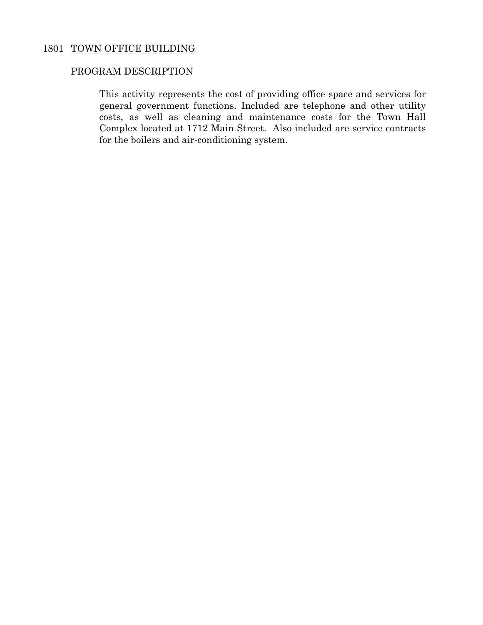## 1801 TOWN OFFICE BUILDING

## PROGRAM DESCRIPTION

 This activity represents the cost of providing office space and services for general government functions. Included are telephone and other utility costs, as well as cleaning and maintenance costs for the Town Hall Complex located at 1712 Main Street. Also included are service contracts for the boilers and air-conditioning system.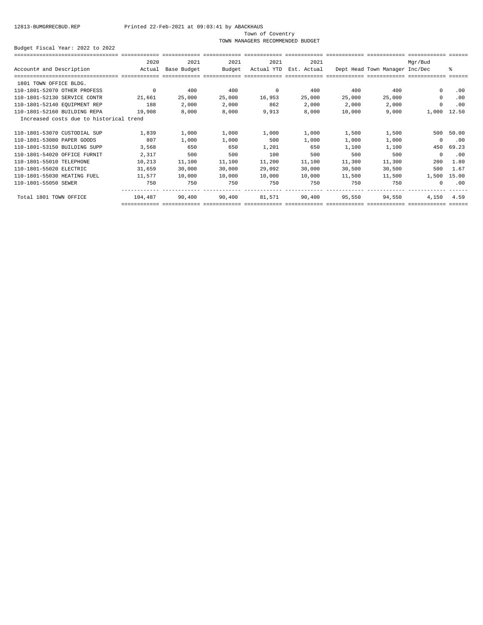### Town of Coventry

TOWN MANAGERS RECOMMENDED BUDGET

|                                         | 2020     | 2021        | 2021   | 2021       | 2021        |        |                                | Mgr/Bud    |       |
|-----------------------------------------|----------|-------------|--------|------------|-------------|--------|--------------------------------|------------|-------|
| Account# and Description                | Actual   | Base Budget | Budget | Actual YTD | Est. Actual |        | Dept Head Town Manager Inc/Dec |            | ま     |
|                                         |          |             |        |            |             |        |                                |            |       |
| 1801 TOWN OFFICE BLDG.                  |          |             |        |            |             |        |                                |            |       |
| 110-1801-52070 OTHER PROFESS            | $\Omega$ | 400         | 400    | $^{\circ}$ | 400         | 400    | 400                            | $\Omega$   | .00   |
| 110-1801-52130 SERVICE CONTR            | 21,661   | 25,000      | 25,000 | 16,953     | 25,000      | 25,000 | 25,000                         | $^{\circ}$ | .00   |
| 110-1801-52140 EQUIPMENT REP            | 188      | 2,000       | 2,000  | 862        | 2,000       | 2,000  | 2,000                          | $\Omega$   | .00   |
| 110-1801-52160 BUILDING REPA            | 19,908   | 8,000       | 8,000  | 9,913      | 8,000       | 10,000 | 9,000                          | 1,000      | 12.50 |
| Increased costs due to historical trend |          |             |        |            |             |        |                                |            |       |
| 110-1801-53070 CUSTODIAL SUP            | 1,839    | 1,000       | 1,000  | 1,000      | 1,000       | 1,500  | 1,500                          | 500        | 50.00 |
| 110-1801-53080 PAPER GOODS              | 807      | 1,000       | 1,000  | 500        | 1,000       | 1,000  | 1,000                          | $^{\circ}$ | .00   |
| 110-1801-53150 BUILDING SUPP            | 3,568    | 650         | 650    | 1,201      | 650         | 1,100  | 1,100                          | 450        | 69.23 |
| 110-1801-54020 OFFICE FURNIT            | 2,317    | 500         | 500    | 100        | 500         | 500    | 500                            | $\Omega$   | .00   |
| 110-1801-55010 TELEPHONE                | 10,213   | 11,100      | 11,100 | 11,200     | 11,100      | 11,300 | 11,300                         | 200        | 1.80  |
| 110-1801-55020 ELECTRIC                 | 31,659   | 30,000      | 30,000 | 29,092     | 30,000      | 30,500 | 30,500                         | 500        | 1.67  |
| 110-1801-55030 HEATING FUEL             | 11,577   | 10,000      | 10,000 | 10,000     | 10,000      | 11,500 | 11,500                         | 1,500      | 15.00 |
| 110-1801-55050 SEWER                    | 750      | 750         | 750    | 750        | 750         | 750    | 750                            | $\Omega$   | .00   |
| Total 1801 TOWN OFFICE                  | 104,487  | 90,400      | 90,400 | 81,571     | 90,400      | 95,550 | 94,550                         | 4,150      | 4.59  |
|                                         |          |             |        |            |             |        |                                |            |       |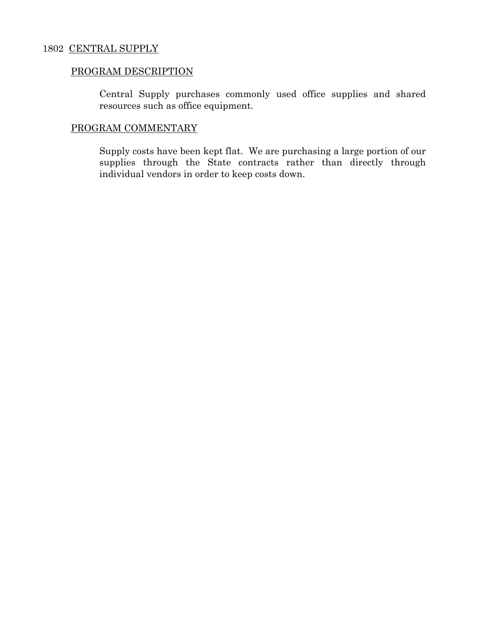## 1802 CENTRAL SUPPLY

## PROGRAM DESCRIPTION

 Central Supply purchases commonly used office supplies and shared resources such as office equipment.

## PROGRAM COMMENTARY

 Supply costs have been kept flat. We are purchasing a large portion of our supplies through the State contracts rather than directly through individual vendors in order to keep costs down.